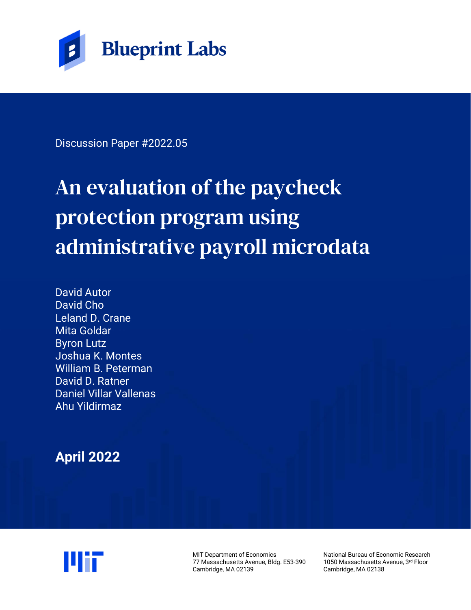

Discussion Paper #2022.05

# An evaluation of the paycheck protection program using administrative payroll microdata

David Autor David Cho Leland D. Crane Mita Goldar Byron Lutz Joshua K. Montes William B. Peterman David D. Ratner Daniel Villar Vallenas Ahu Yildirmaz

**April 2022**



MIT Department of Economics 77 Massachusetts Avenue, Bldg. E53-390 Cambridge, MA 02139

National Bureau of Economic Research 1050 Massachusetts Avenue, 3rd Floor Cambridge, MA 02138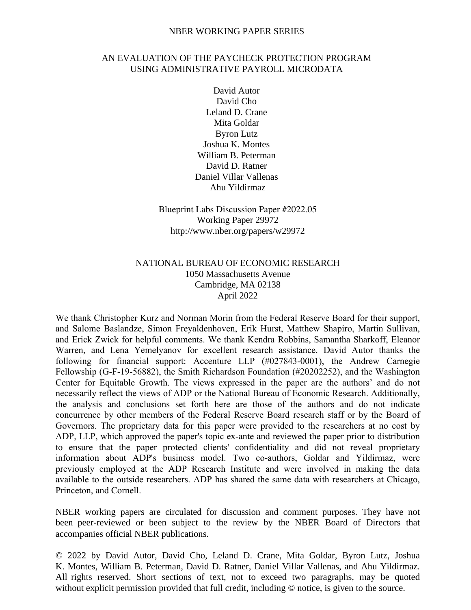#### NBER WORKING PAPER SERIES

#### AN EVALUATION OF THE PAYCHECK PROTECTION PROGRAM USING ADMINISTRATIVE PAYROLL MICRODATA

David Autor David Cho Leland D. Crane Mita Goldar Byron Lutz Joshua K. Montes William B. Peterman David D. Ratner Daniel Villar Vallenas Ahu Yildirmaz

Blueprint Labs Discussion Paper #2022.05 Working Paper 29972 http://www.nber.org/papers/w29972

#### NATIONAL BUREAU OF ECONOMIC RESEARCH 1050 Massachusetts Avenue Cambridge, MA 02138 April 2022

We thank Christopher Kurz and Norman Morin from the Federal Reserve Board for their support, and Salome Baslandze, Simon Freyaldenhoven, Erik Hurst, Matthew Shapiro, Martin Sullivan, and Erick Zwick for helpful comments. We thank Kendra Robbins, Samantha Sharkoff, Eleanor Warren, and Lena Yemelyanov for excellent research assistance. David Autor thanks the following for financial support: Accenture LLP (#027843-0001), the Andrew Carnegie Fellowship (G-F-19-56882), the Smith Richardson Foundation (#20202252), and the Washington Center for Equitable Growth. The views expressed in the paper are the authors' and do not necessarily reflect the views of ADP or the National Bureau of Economic Research. Additionally, the analysis and conclusions set forth here are those of the authors and do not indicate concurrence by other members of the Federal Reserve Board research staff or by the Board of Governors. The proprietary data for this paper were provided to the researchers at no cost by ADP, LLP, which approved the paper's topic ex-ante and reviewed the paper prior to distribution to ensure that the paper protected clients' confidentiality and did not reveal proprietary information about ADP's business model. Two co-authors, Goldar and Yildirmaz, were previously employed at the ADP Research Institute and were involved in making the data available to the outside researchers. ADP has shared the same data with researchers at Chicago, Princeton, and Cornell.

NBER working papers are circulated for discussion and comment purposes. They have not been peer-reviewed or been subject to the review by the NBER Board of Directors that accompanies official NBER publications.

© 2022 by David Autor, David Cho, Leland D. Crane, Mita Goldar, Byron Lutz, Joshua K. Montes, William B. Peterman, David D. Ratner, Daniel Villar Vallenas, and Ahu Yildirmaz. All rights reserved. Short sections of text, not to exceed two paragraphs, may be quoted without explicit permission provided that full credit, including  $\odot$  notice, is given to the source.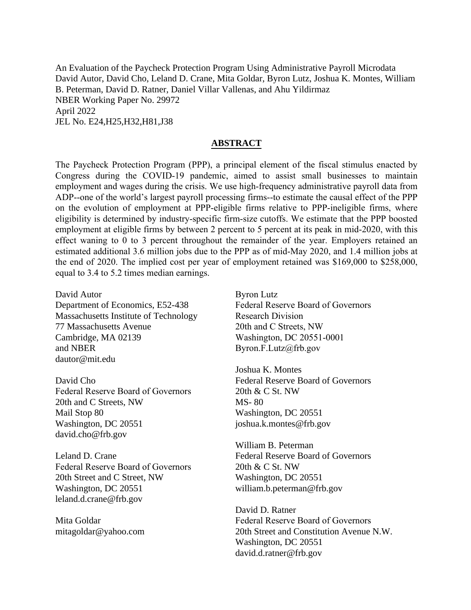An Evaluation of the Paycheck Protection Program Using Administrative Payroll Microdata David Autor, David Cho, Leland D. Crane, Mita Goldar, Byron Lutz, Joshua K. Montes, William B. Peterman, David D. Ratner, Daniel Villar Vallenas, and Ahu Yildirmaz NBER Working Paper No. 29972 April 2022 JEL No. E24,H25,H32,H81,J38

#### **ABSTRACT**

The Paycheck Protection Program (PPP), a principal element of the fiscal stimulus enacted by Congress during the COVID-19 pandemic, aimed to assist small businesses to maintain employment and wages during the crisis. We use high-frequency administrative payroll data from ADP--one of the world's largest payroll processing firms--to estimate the causal effect of the PPP on the evolution of employment at PPP-eligible firms relative to PPP-ineligible firms, where eligibility is determined by industry-specific firm-size cutoffs. We estimate that the PPP boosted employment at eligible firms by between 2 percent to 5 percent at its peak in mid-2020, with this effect waning to 0 to 3 percent throughout the remainder of the year. Employers retained an estimated additional 3.6 million jobs due to the PPP as of mid-May 2020, and 1.4 million jobs at the end of 2020. The implied cost per year of employment retained was \$169,000 to \$258,000, equal to 3.4 to 5.2 times median earnings.

David Autor Department of Economics, E52-438 Massachusetts Institute of Technology 77 Massachusetts Avenue Cambridge, MA 02139 and NBER dautor@mit.edu

David Cho Federal Reserve Board of Governors 20th and C Streets, NW Mail Stop 80 Washington, DC 20551 david.cho@frb.gov

Leland D. Crane Federal Reserve Board of Governors 20th Street and C Street, NW Washington, DC 20551 leland.d.crane@frb.gov

Mita Goldar mitagoldar@yahoo.com Byron Lutz Federal Reserve Board of Governors Research Division 20th and C Streets, NW Washington, DC 20551-0001 Byron.F.Lutz@frb.gov

Joshua K. Montes Federal Reserve Board of Governors 20th & C St. NW MS- 80 Washington, DC 20551 joshua.k.montes@frb.gov

William B. Peterman Federal Reserve Board of Governors 20th & C St. NW Washington, DC 20551 william.b.peterman@frb.gov

David D. Ratner Federal Reserve Board of Governors 20th Street and Constitution Avenue N.W. Washington, DC 20551 david.d.ratner@frb.gov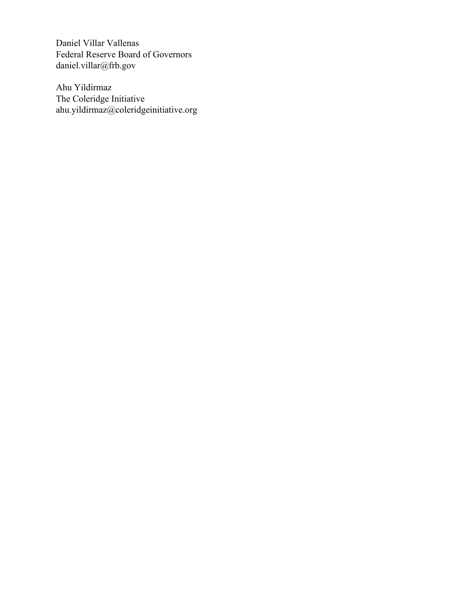Daniel Villar Vallenas Federal Reserve Board of Governors daniel.villar@frb.gov

Ahu Yildirmaz The Coleridge Initiative ahu.yildirmaz@coleridgeinitiative.org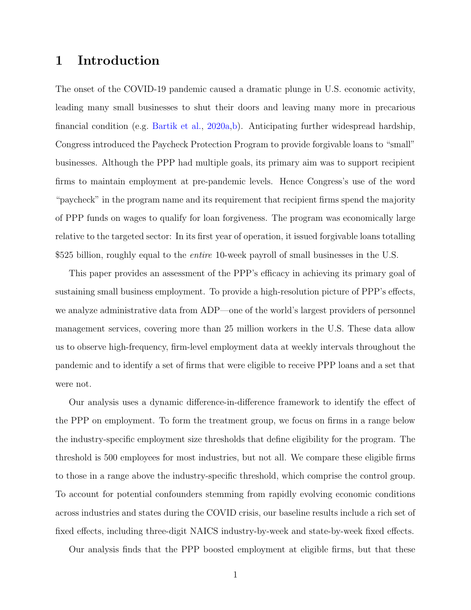## 1 Introduction

The onset of the COVID-19 pandemic caused a dramatic plunge in U.S. economic activity, leading many small businesses to shut their doors and leaving many more in precarious financial condition (e.g. [Bartik et al.,](#page-25-0) [2020a,](#page-25-0)[b\)](#page-25-1). Anticipating further widespread hardship, Congress introduced the Paycheck Protection Program to provide forgivable loans to "small" businesses. Although the PPP had multiple goals, its primary aim was to support recipient firms to maintain employment at pre-pandemic levels. Hence Congress's use of the word "paycheck" in the program name and its requirement that recipient firms spend the majority of PPP funds on wages to qualify for loan forgiveness. The program was economically large relative to the targeted sector: In its first year of operation, it issued forgivable loans totalling \$525 billion, roughly equal to the *entire* 10-week payroll of small businesses in the U.S.

This paper provides an assessment of the PPP's efficacy in achieving its primary goal of sustaining small business employment. To provide a high-resolution picture of PPP's effects, we analyze administrative data from ADP—one of the world's largest providers of personnel management services, covering more than 25 million workers in the U.S. These data allow us to observe high-frequency, firm-level employment data at weekly intervals throughout the pandemic and to identify a set of firms that were eligible to receive PPP loans and a set that were not.

Our analysis uses a dynamic difference-in-difference framework to identify the effect of the PPP on employment. To form the treatment group, we focus on firms in a range below the industry-specific employment size thresholds that define eligibility for the program. The threshold is 500 employees for most industries, but not all. We compare these eligible firms to those in a range above the industry-specific threshold, which comprise the control group. To account for potential confounders stemming from rapidly evolving economic conditions across industries and states during the COVID crisis, our baseline results include a rich set of fixed effects, including three-digit NAICS industry-by-week and state-by-week fixed effects.

Our analysis finds that the PPP boosted employment at eligible firms, but that these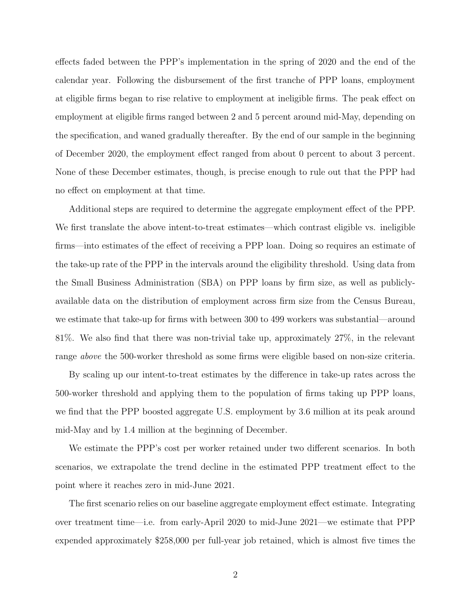effects faded between the PPP's implementation in the spring of 2020 and the end of the calendar year. Following the disbursement of the first tranche of PPP loans, employment at eligible firms began to rise relative to employment at ineligible firms. The peak effect on employment at eligible firms ranged between 2 and 5 percent around mid-May, depending on the specification, and waned gradually thereafter. By the end of our sample in the beginning of December 2020, the employment effect ranged from about 0 percent to about 3 percent. None of these December estimates, though, is precise enough to rule out that the PPP had no effect on employment at that time.

Additional steps are required to determine the aggregate employment effect of the PPP. We first translate the above intent-to-treat estimates—which contrast eligible vs. ineligible firms—into estimates of the effect of receiving a PPP loan. Doing so requires an estimate of the take-up rate of the PPP in the intervals around the eligibility threshold. Using data from the Small Business Administration (SBA) on PPP loans by firm size, as well as publiclyavailable data on the distribution of employment across firm size from the Census Bureau, we estimate that take-up for firms with between 300 to 499 workers was substantial—around 81%. We also find that there was non-trivial take up, approximately 27%, in the relevant range above the 500-worker threshold as some firms were eligible based on non-size criteria.

By scaling up our intent-to-treat estimates by the difference in take-up rates across the 500-worker threshold and applying them to the population of firms taking up PPP loans, we find that the PPP boosted aggregate U.S. employment by 3.6 million at its peak around mid-May and by 1.4 million at the beginning of December.

We estimate the PPP's cost per worker retained under two different scenarios. In both scenarios, we extrapolate the trend decline in the estimated PPP treatment effect to the point where it reaches zero in mid-June 2021.

The first scenario relies on our baseline aggregate employment effect estimate. Integrating over treatment time—i.e. from early-April 2020 to mid-June 2021—we estimate that PPP expended approximately \$258,000 per full-year job retained, which is almost five times the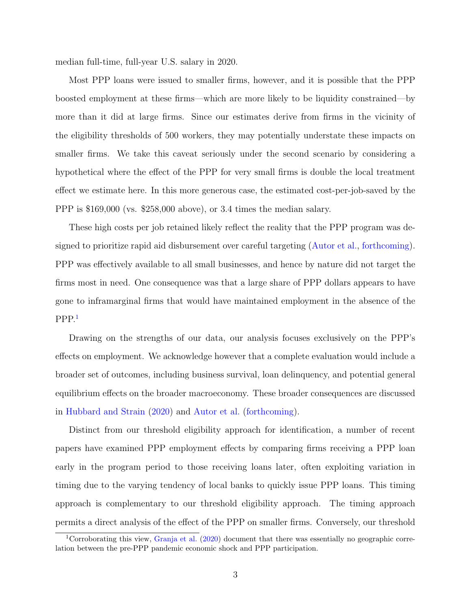median full-time, full-year U.S. salary in 2020.

Most PPP loans were issued to smaller firms, however, and it is possible that the PPP boosted employment at these firms—which are more likely to be liquidity constrained—by more than it did at large firms. Since our estimates derive from firms in the vicinity of the eligibility thresholds of 500 workers, they may potentially understate these impacts on smaller firms. We take this caveat seriously under the second scenario by considering a hypothetical where the effect of the PPP for very small firms is double the local treatment effect we estimate here. In this more generous case, the estimated cost-per-job-saved by the PPP is \$169,000 (vs. \$258,000 above), or 3.4 times the median salary.

These high costs per job retained likely reflect the reality that the PPP program was designed to prioritize rapid aid disbursement over careful targeting [\(Autor et al.,](#page-25-2) [forthcoming\)](#page-25-2). PPP was effectively available to all small businesses, and hence by nature did not target the firms most in need. One consequence was that a large share of PPP dollars appears to have gone to inframarginal firms that would have maintained employment in the absence of the PPP.[1](#page-6-0)

Drawing on the strengths of our data, our analysis focuses exclusively on the PPP's effects on employment. We acknowledge however that a complete evaluation would include a broader set of outcomes, including business survival, loan delinquency, and potential general equilibrium effects on the broader macroeconomy. These broader consequences are discussed in [Hubbard and Strain](#page-26-0) [\(2020\)](#page-26-0) and [Autor et al.](#page-25-2) [\(forthcoming\)](#page-25-2).

Distinct from our threshold eligibility approach for identification, a number of recent papers have examined PPP employment effects by comparing firms receiving a PPP loan early in the program period to those receiving loans later, often exploiting variation in timing due to the varying tendency of local banks to quickly issue PPP loans. This timing approach is complementary to our threshold eligibility approach. The timing approach permits a direct analysis of the effect of the PPP on smaller firms. Conversely, our threshold

<span id="page-6-0"></span><sup>&</sup>lt;sup>1</sup>Corroborating this view, [Granja et al.](#page-26-1) [\(2020\)](#page-26-1) document that there was essentially no geographic correlation between the pre-PPP pandemic economic shock and PPP participation.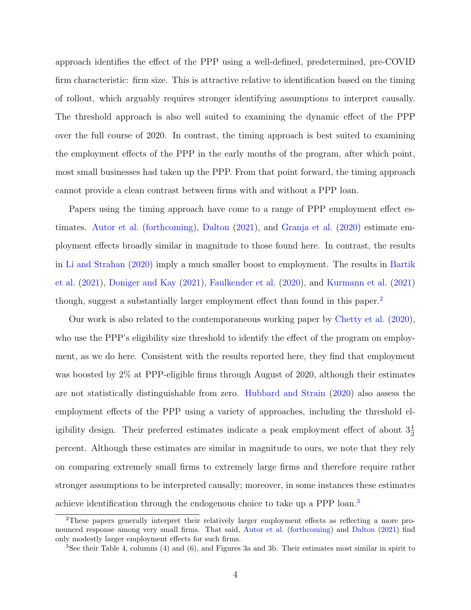approach identifies the effect of the PPP using a well-defined, predetermined, pre-COVID firm characteristic: firm size. This is attractive relative to identification based on the timing of rollout, which arguably requires stronger identifying assumptions to interpret causally. The threshold approach is also well suited to examining the dynamic effect of the PPP over the full course of 2020. In contrast, the timing approach is best suited to examining the employment effects of the PPP in the early months of the program, after which point, most small businesses had taken up the PPP. From that point forward, the timing approach cannot provide a clean contrast between firms with and without a PPP loan.

Papers using the timing approach have come to a range of PPP employment effect estimates. [Autor et al.](#page-25-2) [\(forthcoming\)](#page-25-2), [Dalton](#page-25-3) [\(2021\)](#page-25-3), and [Granja et al.](#page-26-1) [\(2020\)](#page-26-1) estimate employment effects broadly similar in magnitude to those found here. In contrast, the results in [Li and Strahan](#page-26-2) [\(2020\)](#page-26-2) imply a much smaller boost to employment. The results in [Bartik](#page-25-4) [et al.](#page-25-4) [\(2021\)](#page-25-4), [Doniger and Kay](#page-26-3) [\(2021\)](#page-26-3), [Faulkender et al.](#page-26-4) [\(2020\)](#page-26-4), and [Kurmann et al.](#page-26-5) [\(2021\)](#page-26-5) though, suggest a substantially larger employment effect than found in this paper.<sup>[2](#page-7-0)</sup>

Our work is also related to the contemporaneous working paper by [Chetty et al.](#page-25-5) [\(2020\)](#page-25-5), who use the PPP's eligibility size threshold to identify the effect of the program on employment, as we do here. Consistent with the results reported here, they find that employment was boosted by 2% at PPP-eligible firms through August of 2020, although their estimates are not statistically distinguishable from zero. [Hubbard and Strain](#page-26-0) [\(2020\)](#page-26-0) also assess the employment effects of the PPP using a variety of approaches, including the threshold eligibility design. Their preferred estimates indicate a peak employment effect of about  $3\frac{1}{2}$ percent. Although these estimates are similar in magnitude to ours, we note that they rely on comparing extremely small firms to extremely large firms and therefore require rather stronger assumptions to be interpreted causally; moreover, in some instances these estimates achieve identification through the endogenous choice to take up a PPP loan.[3](#page-7-1)

<span id="page-7-0"></span><sup>2</sup>These papers generally interpret their relatively larger employment effects as reflecting a more pronounced response among very small firms. That said, [Autor et al.](#page-25-2) [\(forthcoming\)](#page-25-2) and [Dalton](#page-25-3) [\(2021\)](#page-25-3) find only modestly larger employment effects for such firms.

<span id="page-7-1"></span><sup>&</sup>lt;sup>3</sup>See their Table 4, columns (4) and (6), and Figures 3a and 3b. Their estimates most similar in spirit to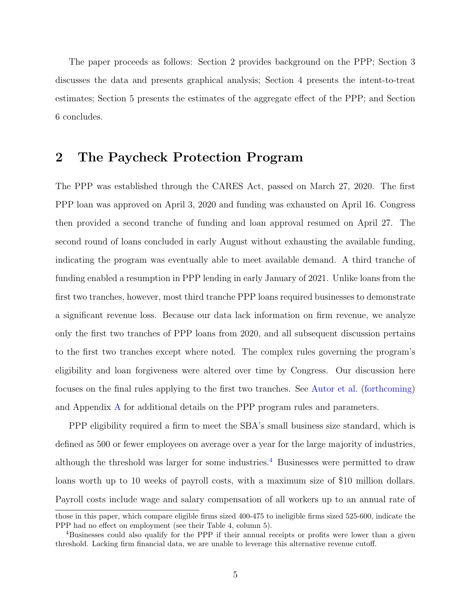The paper proceeds as follows: Section 2 provides background on the PPP; Section 3 discusses the data and presents graphical analysis; Section 4 presents the intent-to-treat estimates; Section 5 presents the estimates of the aggregate effect of the PPP; and Section 6 concludes.

#### 2 The Paycheck Protection Program

The PPP was established through the CARES Act, passed on March 27, 2020. The first PPP loan was approved on April 3, 2020 and funding was exhausted on April 16. Congress then provided a second tranche of funding and loan approval resumed on April 27. The second round of loans concluded in early August without exhausting the available funding, indicating the program was eventually able to meet available demand. A third tranche of funding enabled a resumption in PPP lending in early January of 2021. Unlike loans from the first two tranches, however, most third tranche PPP loans required businesses to demonstrate a significant revenue loss. Because our data lack information on firm revenue, we analyze only the first two tranches of PPP loans from 2020, and all subsequent discussion pertains to the first two tranches except where noted. The complex rules governing the program's eligibility and loan forgiveness were altered over time by Congress. Our discussion here focuses on the final rules applying to the first two tranches. See [Autor et al.](#page-25-2) [\(forthcoming\)](#page-25-2) and Appendix [A](#page-27-0) for additional details on the PPP program rules and parameters.

PPP eligibility required a firm to meet the SBA's small business size standard, which is defined as 500 or fewer employees on average over a year for the large majority of industries, although the threshold was larger for some industries.<sup>[4](#page-8-0)</sup> Businesses were permitted to draw loans worth up to 10 weeks of payroll costs, with a maximum size of \$10 million dollars. Payroll costs include wage and salary compensation of all workers up to an annual rate of

those in this paper, which compare eligible firms sized 400-475 to ineligible firms sized 525-600, indicate the PPP had no effect on employment (see their Table 4, column 5).

<span id="page-8-0"></span><sup>4</sup>Businesses could also qualify for the PPP if their annual receipts or profits were lower than a given threshold. Lacking firm financial data, we are unable to leverage this alternative revenue cutoff.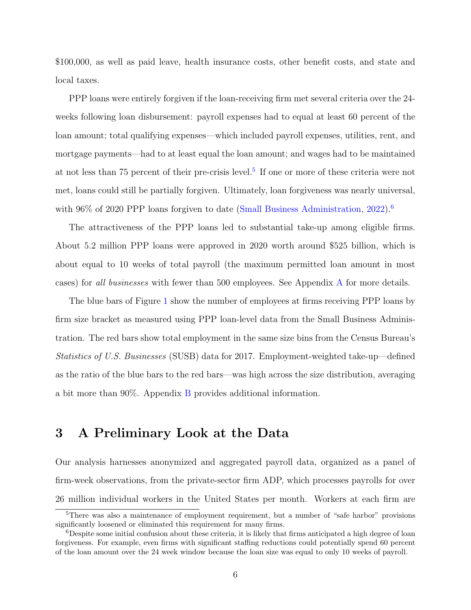\$100,000, as well as paid leave, health insurance costs, other benefit costs, and state and local taxes.

PPP loans were entirely forgiven if the loan-receiving firm met several criteria over the 24 weeks following loan disbursement: payroll expenses had to equal at least 60 percent of the loan amount; total qualifying expenses—which included payroll expenses, utilities, rent, and mortgage payments—had to at least equal the loan amount; and wages had to be maintained at not less than 7[5](#page-9-0) percent of their pre-crisis level.<sup>5</sup> If one or more of these criteria were not met, loans could still be partially forgiven. Ultimately, loan forgiveness was nearly universal, with 96% of 2020 PPP loans forgiven to date [\(Small Business Administration,](#page-26-6) [2022\)](#page-26-6).<sup>[6](#page-9-1)</sup>

The attractiveness of the PPP loans led to substantial take-up among eligible firms. About 5.2 million PPP loans were approved in 2020 worth around \$525 billion, which is about equal to 10 weeks of total payroll (the maximum permitted loan amount in most cases) for all businesses with fewer than 500 employees. See Appendix [A](#page-27-0) for more details.

The blue bars of Figure [1](#page-10-0) show the number of employees at firms receiving PPP loans by firm size bracket as measured using PPP loan-level data from the Small Business Administration. The red bars show total employment in the same size bins from the Census Bureau's Statistics of U.S. Businesses (SUSB) data for 2017. Employment-weighted take-up—defined as the ratio of the blue bars to the red bars—was high across the size distribution, averaging a bit more than 90%. Appendix [B](#page-28-0) provides additional information.

## 3 A Preliminary Look at the Data

Our analysis harnesses anonymized and aggregated payroll data, organized as a panel of firm-week observations, from the private-sector firm ADP, which processes payrolls for over 26 million individual workers in the United States per month. Workers at each firm are

<span id="page-9-0"></span><sup>&</sup>lt;sup>5</sup>There was also a maintenance of employment requirement, but a number of "safe harbor" provisions significantly loosened or eliminated this requirement for many firms.

<span id="page-9-1"></span> $6$ Despite some initial confusion about these criteria, it is likely that firms anticipated a high degree of loan forgiveness. For example, even firms with significant staffing reductions could potentially spend 60 percent of the loan amount over the 24 week window because the loan size was equal to only 10 weeks of payroll.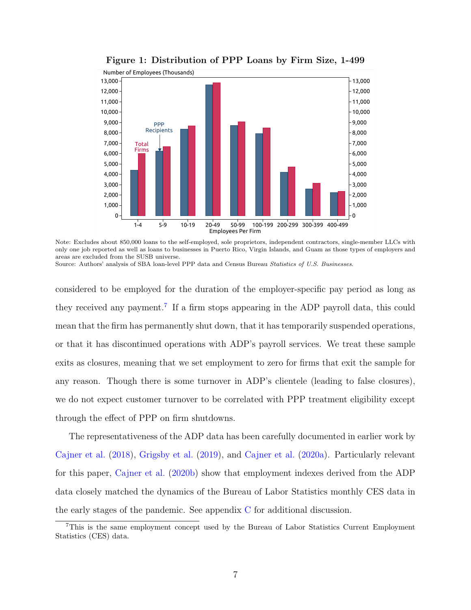<span id="page-10-0"></span>

Figure 1: Distribution of PPP Loans by Firm Size, 1-499

Note: Excludes about 850,000 loans to the self-employed, sole proprietors, independent contractors, single-member LLCs with only one job reported as well as loans to businesses in Puerto Rico, Virgin Islands, and Guam as those types of employers and areas are excluded from the SUSB universe.

Source: Authors' analysis of SBA loan-level PPP data and Census Bureau Statistics of U.S. Businesses.

considered to be employed for the duration of the employer-specific pay period as long as they received any payment.<sup>[7](#page-10-1)</sup> If a firm stops appearing in the ADP payroll data, this could mean that the firm has permanently shut down, that it has temporarily suspended operations, or that it has discontinued operations with ADP's payroll services. We treat these sample exits as closures, meaning that we set employment to zero for firms that exit the sample for any reason. Though there is some turnover in ADP's clientele (leading to false closures), we do not expect customer turnover to be correlated with PPP treatment eligibility except through the effect of PPP on firm shutdowns.

The representativeness of the ADP data has been carefully documented in earlier work by [Cajner et al.](#page-25-6) [\(2018\)](#page-25-6), [Grigsby et al.](#page-26-7) [\(2019\)](#page-26-7), and [Cajner et al.](#page-25-7) [\(2020a\)](#page-25-7). Particularly relevant for this paper, [Cajner et al.](#page-25-8) [\(2020b\)](#page-25-8) show that employment indexes derived from the ADP data closely matched the dynamics of the Bureau of Labor Statistics monthly CES data in the early stages of the pandemic. See appendix [C](#page-33-0) for additional discussion.

<span id="page-10-1"></span><sup>7</sup>This is the same employment concept used by the Bureau of Labor Statistics Current Employment Statistics (CES) data.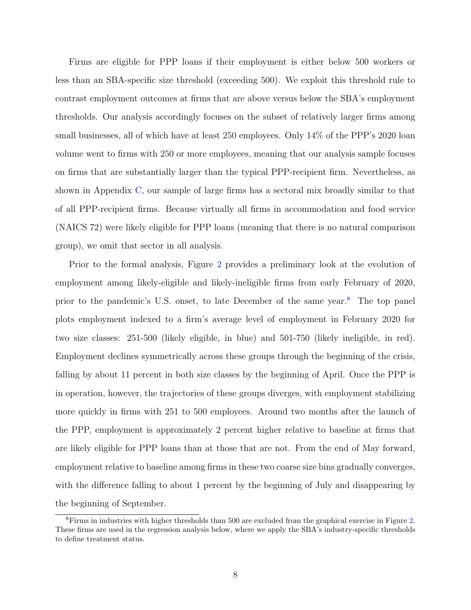Firms are eligible for PPP loans if their employment is either below 500 workers or less than an SBA-specific size threshold (exceeding 500). We exploit this threshold rule to contrast employment outcomes at firms that are above versus below the SBA's employment thresholds. Our analysis accordingly focuses on the subset of relatively larger firms among small businesses, all of which have at least 250 employees. Only 14% of the PPP's 2020 loan volume went to firms with 250 or more employees, meaning that our analysis sample focuses on firms that are substantially larger than the typical PPP-recipient firm. Nevertheless, as shown in Appendix [C,](#page-33-0) our sample of large firms has a sectoral mix broadly similar to that of all PPP-recipient firms. Because virtually all firms in accommodation and food service (NAICS 72) were likely eligible for PPP loans (meaning that there is no natural comparison group), we omit that sector in all analysis.

Prior to the formal analysis, Figure [2](#page-12-0) provides a preliminary look at the evolution of employment among likely-eligible and likely-ineligible firms from early February of 2020, prior to the pandemic's U.S. onset, to late December of the same year.[8](#page-11-0) The top panel plots employment indexed to a firm's average level of employment in February 2020 for two size classes: 251-500 (likely eligible, in blue) and 501-750 (likely ineligible, in red). Employment declines symmetrically across these groups through the beginning of the crisis, falling by about 11 percent in both size classes by the beginning of April. Once the PPP is in operation, however, the trajectories of these groups diverges, with employment stabilizing more quickly in firms with 251 to 500 employees. Around two months after the launch of the PPP, employment is approximately 2 percent higher relative to baseline at firms that are likely eligible for PPP loans than at those that are not. From the end of May forward, employment relative to baseline among firms in these two coarse size bins gradually converges, with the difference falling to about 1 percent by the beginning of July and disappearing by the beginning of September.

<span id="page-11-0"></span><sup>8</sup>Firms in industries with higher thresholds than 500 are excluded from the graphical exercise in Figure [2.](#page-12-0) These firms are used in the regression analysis below, where we apply the SBA's industry-specific thresholds to define treatment status.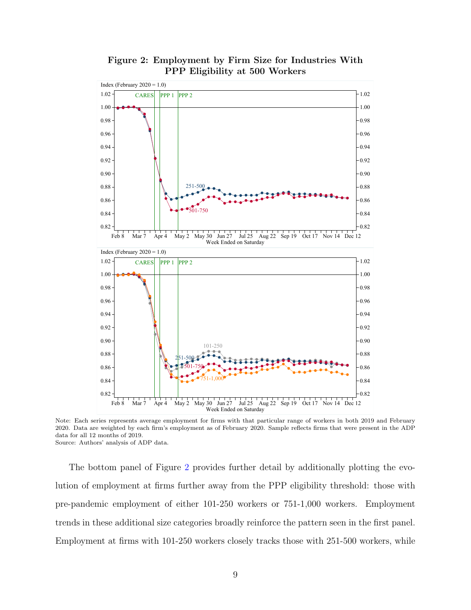<span id="page-12-0"></span>

Figure 2: Employment by Firm Size for Industries With PPP Eligibility at 500 Workers

Note: Each series represents average employment for firms with that particular range of workers in both 2019 and February 2020. Data are weighted by each firm's employment as of February 2020. Sample reflects firms that were present in the ADP data for all 12 months of 2019. Source: Authors' analysis of ADP data.

The bottom panel of Figure [2](#page-12-0) provides further detail by additionally plotting the evolution of employment at firms further away from the PPP eligibility threshold: those with pre-pandemic employment of either 101-250 workers or 751-1,000 workers. Employment trends in these additional size categories broadly reinforce the pattern seen in the first panel. Employment at firms with 101-250 workers closely tracks those with 251-500 workers, while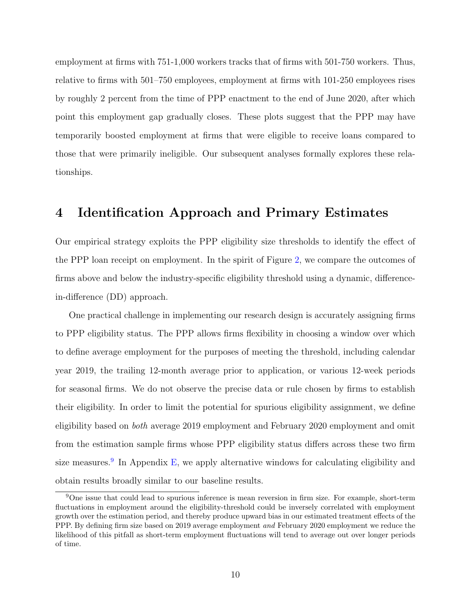employment at firms with 751-1,000 workers tracks that of firms with 501-750 workers. Thus, relative to firms with 501–750 employees, employment at firms with 101-250 employees rises by roughly 2 percent from the time of PPP enactment to the end of June 2020, after which point this employment gap gradually closes. These plots suggest that the PPP may have temporarily boosted employment at firms that were eligible to receive loans compared to those that were primarily ineligible. Our subsequent analyses formally explores these relationships.

## 4 Identification Approach and Primary Estimates

Our empirical strategy exploits the PPP eligibility size thresholds to identify the effect of the PPP loan receipt on employment. In the spirit of Figure [2,](#page-12-0) we compare the outcomes of firms above and below the industry-specific eligibility threshold using a dynamic, differencein-difference (DD) approach.

One practical challenge in implementing our research design is accurately assigning firms to PPP eligibility status. The PPP allows firms flexibility in choosing a window over which to define average employment for the purposes of meeting the threshold, including calendar year 2019, the trailing 12-month average prior to application, or various 12-week periods for seasonal firms. We do not observe the precise data or rule chosen by firms to establish their eligibility. In order to limit the potential for spurious eligibility assignment, we define eligibility based on both average 2019 employment and February 2020 employment and omit from the estimation sample firms whose PPP eligibility status differs across these two firm size measures.<sup>[9](#page-13-0)</sup> In Appendix [E,](#page-36-0) we apply alternative windows for calculating eligibility and obtain results broadly similar to our baseline results.

<span id="page-13-0"></span><sup>9</sup>One issue that could lead to spurious inference is mean reversion in firm size. For example, short-term fluctuations in employment around the eligibility-threshold could be inversely correlated with employment growth over the estimation period, and thereby produce upward bias in our estimated treatment effects of the PPP. By defining firm size based on 2019 average employment and February 2020 employment we reduce the likelihood of this pitfall as short-term employment fluctuations will tend to average out over longer periods of time.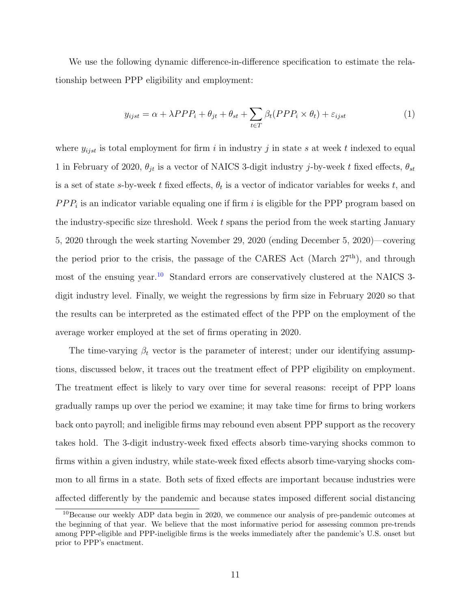We use the following dynamic difference-in-difference specification to estimate the relationship between PPP eligibility and employment:

<span id="page-14-1"></span>
$$
y_{ijst} = \alpha + \lambda PPP_i + \theta_{jt} + \theta_{st} + \sum_{t \in T} \beta_t (PPP_i \times \theta_t) + \varepsilon_{ijst}
$$
 (1)

where  $y_{i,jst}$  is total employment for firm i in industry j in state s at week t indexed to equal 1 in February of 2020,  $\theta_{jt}$  is a vector of NAICS 3-digit industry j-by-week t fixed effects,  $\theta_{st}$ is a set of state s-by-week t fixed effects,  $\theta_t$  is a vector of indicator variables for weeks t, and  $PPP_i$  is an indicator variable equaling one if firm i is eligible for the PPP program based on the industry-specific size threshold. Week t spans the period from the week starting January 5, 2020 through the week starting November 29, 2020 (ending December 5, 2020)—covering the period prior to the crisis, the passage of the CARES Act (March 27th), and through most of the ensuing year.<sup>[10](#page-14-0)</sup> Standard errors are conservatively clustered at the NAICS 3digit industry level. Finally, we weight the regressions by firm size in February 2020 so that the results can be interpreted as the estimated effect of the PPP on the employment of the average worker employed at the set of firms operating in 2020.

The time-varying  $\beta_t$  vector is the parameter of interest; under our identifying assumptions, discussed below, it traces out the treatment effect of PPP eligibility on employment. The treatment effect is likely to vary over time for several reasons: receipt of PPP loans gradually ramps up over the period we examine; it may take time for firms to bring workers back onto payroll; and ineligible firms may rebound even absent PPP support as the recovery takes hold. The 3-digit industry-week fixed effects absorb time-varying shocks common to firms within a given industry, while state-week fixed effects absorb time-varying shocks common to all firms in a state. Both sets of fixed effects are important because industries were affected differently by the pandemic and because states imposed different social distancing

<span id="page-14-0"></span><sup>10</sup>Because our weekly ADP data begin in 2020, we commence our analysis of pre-pandemic outcomes at the beginning of that year. We believe that the most informative period for assessing common pre-trends among PPP-eligible and PPP-ineligible firms is the weeks immediately after the pandemic's U.S. onset but prior to PPP's enactment.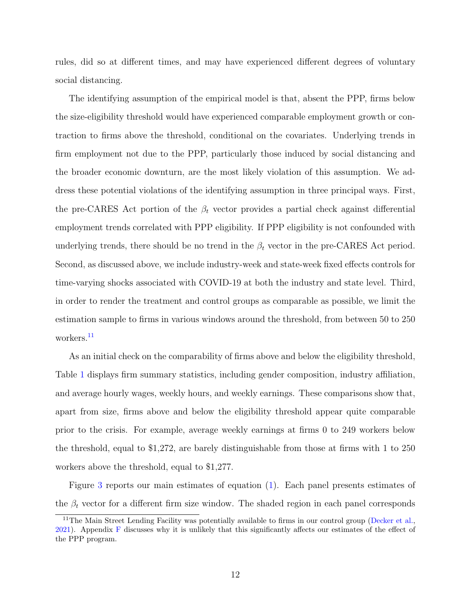rules, did so at different times, and may have experienced different degrees of voluntary social distancing.

The identifying assumption of the empirical model is that, absent the PPP, firms below the size-eligibility threshold would have experienced comparable employment growth or contraction to firms above the threshold, conditional on the covariates. Underlying trends in firm employment not due to the PPP, particularly those induced by social distancing and the broader economic downturn, are the most likely violation of this assumption. We address these potential violations of the identifying assumption in three principal ways. First, the pre-CARES Act portion of the  $\beta_t$  vector provides a partial check against differential employment trends correlated with PPP eligibility. If PPP eligibility is not confounded with underlying trends, there should be no trend in the  $\beta_t$  vector in the pre-CARES Act period. Second, as discussed above, we include industry-week and state-week fixed effects controls for time-varying shocks associated with COVID-19 at both the industry and state level. Third, in order to render the treatment and control groups as comparable as possible, we limit the estimation sample to firms in various windows around the threshold, from between 50 to 250 workers.<sup>[11](#page-15-0)</sup>

As an initial check on the comparability of firms above and below the eligibility threshold, Table [1](#page-16-0) displays firm summary statistics, including gender composition, industry affiliation, and average hourly wages, weekly hours, and weekly earnings. These comparisons show that, apart from size, firms above and below the eligibility threshold appear quite comparable prior to the crisis. For example, average weekly earnings at firms 0 to 249 workers below the threshold, equal to \$1,272, are barely distinguishable from those at firms with 1 to 250 workers above the threshold, equal to \$1,277.

Figure [3](#page-18-0) reports our main estimates of equation [\(1\)](#page-14-1). Each panel presents estimates of the  $\beta_t$  vector for a different firm size window. The shaded region in each panel corresponds

<span id="page-15-0"></span><sup>&</sup>lt;sup>11</sup>The Main Street Lending Facility was potentially available to firms in our control group [\(Decker et al.,](#page-26-8) [2021\)](#page-26-8). Appendix [F](#page-41-0) discusses why it is unlikely that this significantly affects our estimates of the effect of the PPP program.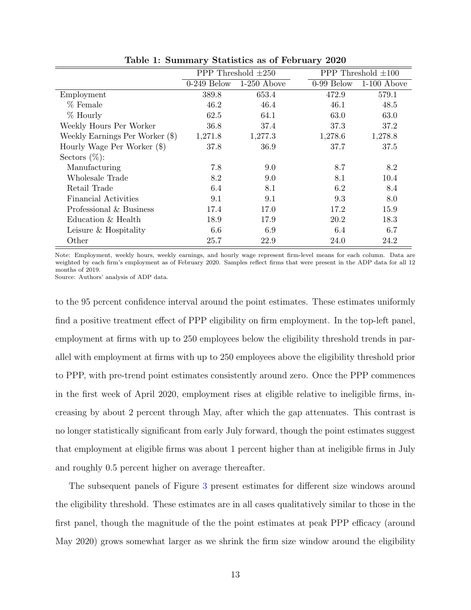<span id="page-16-0"></span>

|                                 | PPP Threshold $\pm 250$ |               | PPP Threshold $\pm 100$ |               |
|---------------------------------|-------------------------|---------------|-------------------------|---------------|
|                                 | $0-249$ Below           | $1-250$ Above | $0-99$ Below            | $1-100$ Above |
| Employment                      | 389.8                   | 653.4         | 472.9                   | 579.1         |
| % Female                        | 46.2                    | 46.4          | 46.1                    | 48.5          |
| $%$ Hourly                      | 62.5                    | 64.1          | 63.0                    | 63.0          |
| Weekly Hours Per Worker         | 36.8                    | 37.4          | 37.3                    | 37.2          |
| Weekly Earnings Per Worker (\$) | 1,271.8                 | 1,277.3       | 1,278.6                 | 1,278.8       |
| Hourly Wage Per Worker (\$)     | 37.8                    | 36.9          | 37.7                    | 37.5          |
| Sectors $(\%)$ :                |                         |               |                         |               |
| Manufacturing                   | 7.8                     | 9.0           | 8.7                     | 8.2           |
| Wholesale Trade                 | 8.2                     | 9.0           | 8.1                     | 10.4          |
| Retail Trade                    | 6.4                     | 8.1           | 6.2                     | 8.4           |
| Financial Activities            | 9.1                     | 9.1           | 9.3                     | 8.0           |
| Professional & Business         | 17.4                    | 17.0          | 17.2                    | 15.9          |
| Education & Health              | 18.9                    | 17.9          | 20.2                    | 18.3          |
| Leisure & Hospitality           | 6.6                     | 6.9           | 6.4                     | 6.7           |
| Other                           | 25.7                    | 22.9          | 24.0                    | 24.2          |

Table 1: Summary Statistics as of February 2020

Note: Employment, weekly hours, weekly earnings, and hourly wage represent firm-level means for each column. Data are weighted by each firm's employment as of February 2020. Samples reflect firms that were present in the ADP data for all 12 months of 2019.

Source: Authors' analysis of ADP data.

to the 95 percent confidence interval around the point estimates. These estimates uniformly find a positive treatment effect of PPP eligibility on firm employment. In the top-left panel, employment at firms with up to 250 employees below the eligibility threshold trends in parallel with employment at firms with up to 250 employees above the eligibility threshold prior to PPP, with pre-trend point estimates consistently around zero. Once the PPP commences in the first week of April 2020, employment rises at eligible relative to ineligible firms, increasing by about 2 percent through May, after which the gap attenuates. This contrast is no longer statistically significant from early July forward, though the point estimates suggest that employment at eligible firms was about 1 percent higher than at ineligible firms in July and roughly 0.5 percent higher on average thereafter.

The subsequent panels of Figure [3](#page-18-0) present estimates for different size windows around the eligibility threshold. These estimates are in all cases qualitatively similar to those in the first panel, though the magnitude of the the point estimates at peak PPP efficacy (around May 2020) grows somewhat larger as we shrink the firm size window around the eligibility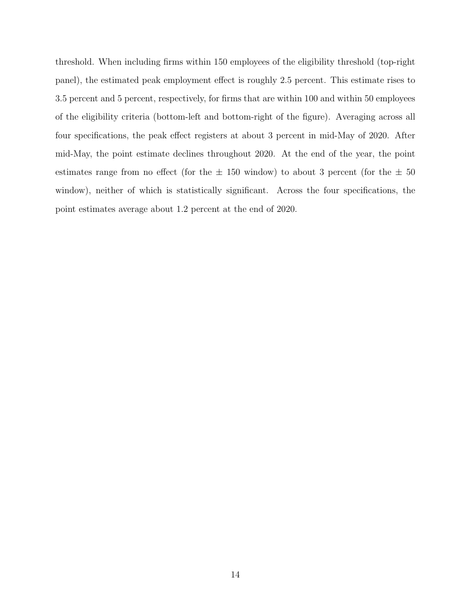threshold. When including firms within 150 employees of the eligibility threshold (top-right panel), the estimated peak employment effect is roughly 2.5 percent. This estimate rises to 3.5 percent and 5 percent, respectively, for firms that are within 100 and within 50 employees of the eligibility criteria (bottom-left and bottom-right of the figure). Averaging across all four specifications, the peak effect registers at about 3 percent in mid-May of 2020. After mid-May, the point estimate declines throughout 2020. At the end of the year, the point estimates range from no effect (for the  $\pm$  150 window) to about 3 percent (for the  $\pm$  50 window), neither of which is statistically significant. Across the four specifications, the point estimates average about 1.2 percent at the end of 2020.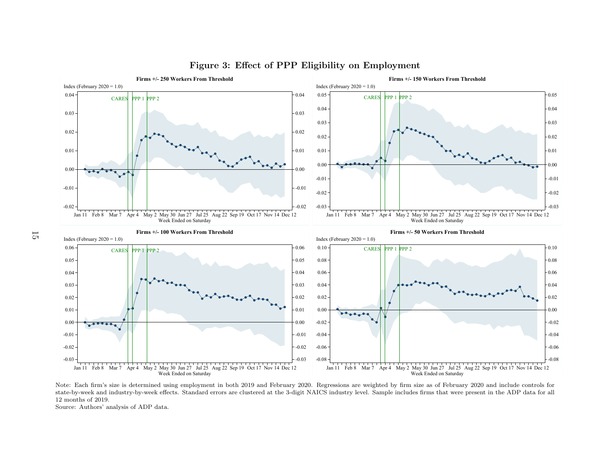

#### <span id="page-18-0"></span>Figure 3: Effect of PPP Eligibility on Employment

 state-by-week and industry-by-week effects. Standard errors are clustered at the 3-digit NAICS industry level. Sample includes firms that were present in the ADP data for all Note: Each firm's size is determined using employment in both <sup>2019</sup> and February 2020. Regressions are weighted by firm size as of February <sup>2020</sup> and include controls forI Feb 8 Mar 7 Apr 4 May 2 May 30 Jun 27 Jul 25 Aug 22 Sep 19 Oct 17 Nov 14 Dec 12<br>Week Ended on Saturday<br>h firm's size is determined using employment in both 2019 and February<br>eek and industry-by-week effects. Standard err I Feb 8 Mar 7 Apr 4 May 2 May 30 Jun 27 Jul 25 Aug 22 Sep 19 Oct 17 Nov 14 Dec 12<br>Week Ended on Saturday<br>ions are weighted by firm size as of February 2020 and include controls f<br>lustry level. Sample includes firms that we 12 months of 2019.

Source: Authors' analysis of ADP data.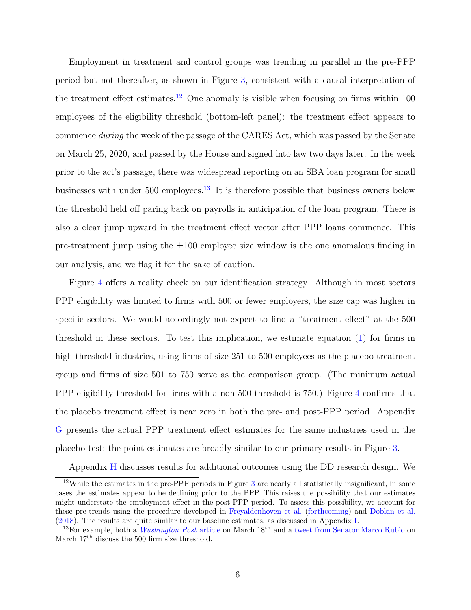Employment in treatment and control groups was trending in parallel in the pre-PPP period but not thereafter, as shown in Figure [3,](#page-18-0) consistent with a causal interpretation of the treatment effect estimates.<sup>[12](#page-19-0)</sup> One anomaly is visible when focusing on firms within 100 employees of the eligibility threshold (bottom-left panel): the treatment effect appears to commence during the week of the passage of the CARES Act, which was passed by the Senate on March 25, 2020, and passed by the House and signed into law two days later. In the week prior to the act's passage, there was widespread reporting on an SBA loan program for small businesses with under 500 employees.[13](#page-19-1) It is therefore possible that business owners below the threshold held off paring back on payrolls in anticipation of the loan program. There is also a clear jump upward in the treatment effect vector after PPP loans commence. This pre-treatment jump using the  $\pm 100$  employee size window is the one anomalous finding in our analysis, and we flag it for the sake of caution.

Figure [4](#page-20-0) offers a reality check on our identification strategy. Although in most sectors PPP eligibility was limited to firms with 500 or fewer employers, the size cap was higher in specific sectors. We would accordingly not expect to find a "treatment effect" at the 500 threshold in these sectors. To test this implication, we estimate equation [\(1\)](#page-14-1) for firms in high-threshold industries, using firms of size 251 to 500 employees as the placebo treatment group and firms of size 501 to 750 serve as the comparison group. (The minimum actual PPP-eligibility threshold for firms with a non-500 threshold is 750.) Figure [4](#page-20-0) confirms that the placebo treatment effect is near zero in both the pre- and post-PPP period. Appendix [G](#page-41-1) presents the actual PPP treatment effect estimates for the same industries used in the placebo test; the point estimates are broadly similar to our primary results in Figure [3.](#page-18-0)

<span id="page-19-0"></span>Appendix [H](#page-42-0) discusses results for additional outcomes using the DD research design. We

<sup>&</sup>lt;sup>12</sup>While the estimates in the pre-PPP periods in Figure [3](#page-18-0) are nearly all statistically insignificant, in some cases the estimates appear to be declining prior to the PPP. This raises the possibility that our estimates might understate the employment effect in the post-PPP period. To assess this possibility, we account for these pre-trends using the procedure developed in [Freyaldenhoven et al.](#page-26-9) [\(forthcoming\)](#page-26-9) and [Dobkin et al.](#page-26-10) [\(2018\)](#page-26-10). The results are quite similar to our baseline estimates, as discussed in Appendix [I.](#page-45-0)

<span id="page-19-1"></span><sup>&</sup>lt;sup>13</sup>For example, both a *[Washington Post](https://www.washingtonpost.com/business/2020/03/18/trump-coronavirus-economic-plan/)* article on March  $18<sup>th</sup>$  and a [tweet from Senator Marco Rubio](https://twitter.com/marcorubio/status/1240054005730025473?s=20) on March  $17<sup>th</sup>$  discuss the 500 firm size threshold.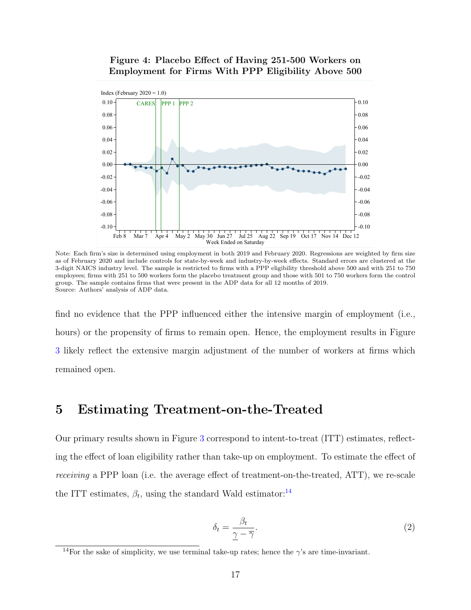#### <span id="page-20-0"></span>Figure 4: Placebo Effect of Having 251-500 Workers on Employment for Firms With PPP Eligibility Above 500



Note: Each firm's size is determined using employment in both 2019 and February 2020. Regressions are weighted by firm size as of February 2020 and include controls for state-by-week and industry-by-week effects. Standard errors are clustered at the 3-digit NAICS industry level. The sample is restricted to firms with a PPP eligibility threshold above 500 and with 251 to 750 employees; firms with 251 to 500 workers form the placebo treatment group and those with 501 to 750 workers form the control group. The sample contains firms that were present in the ADP data for all 12 months of 2019. Source: Authors' analysis of ADP data.

find no evidence that the PPP influenced either the intensive margin of employment (i.e., hours) or the propensity of firms to remain open. Hence, the employment results in Figure [3](#page-18-0) likely reflect the extensive margin adjustment of the number of workers at firms which remained open.

#### <span id="page-20-3"></span>5 Estimating Treatment-on-the-Treated

Our primary results shown in Figure [3](#page-18-0) correspond to intent-to-treat (ITT) estimates, reflecting the effect of loan eligibility rather than take-up on employment. To estimate the effect of receiving a PPP loan (i.e. the average effect of treatment-on-the-treated, ATT), we re-scale the ITT estimates,  $\beta_t$ , using the standard Wald estimator:<sup>[14](#page-20-1)</sup>

<span id="page-20-2"></span>
$$
\delta_t = \frac{\beta_t}{\gamma - \overline{\gamma}}.\tag{2}
$$

<span id="page-20-1"></span><sup>&</sup>lt;sup>14</sup>For the sake of simplicity, we use terminal take-up rates; hence the  $\gamma$ 's are time-invariant.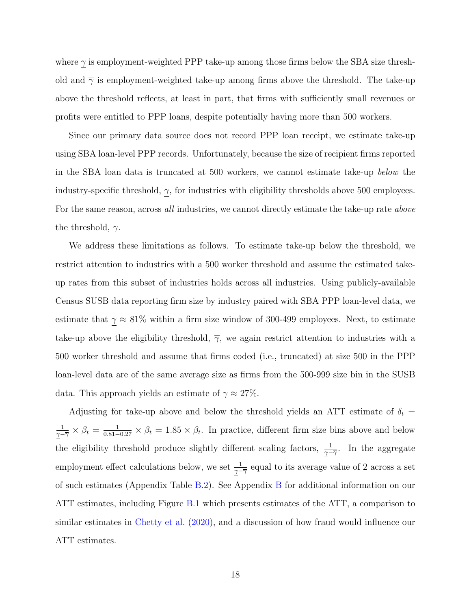where  $\gamma$  is employment-weighted PPP take-up among those firms below the SBA size threshold and  $\overline{\gamma}$  is employment-weighted take-up among firms above the threshold. The take-up above the threshold reflects, at least in part, that firms with sufficiently small revenues or profits were entitled to PPP loans, despite potentially having more than 500 workers.

Since our primary data source does not record PPP loan receipt, we estimate take-up using SBA loan-level PPP records. Unfortunately, because the size of recipient firms reported in the SBA loan data is truncated at 500 workers, we cannot estimate take-up below the industry-specific threshold,  $\gamma$ , for industries with eligibility thresholds above 500 employees. For the same reason, across all industries, we cannot directly estimate the take-up rate above the threshold,  $\bar{\gamma}$ .

We address these limitations as follows. To estimate take-up below the threshold, we restrict attention to industries with a 500 worker threshold and assume the estimated takeup rates from this subset of industries holds across all industries. Using publicly-available Census SUSB data reporting firm size by industry paired with SBA PPP loan-level data, we estimate that  $\gamma \approx 81\%$  within a firm size window of 300-499 employees. Next, to estimate take-up above the eligibility threshold,  $\overline{\gamma}$ , we again restrict attention to industries with a 500 worker threshold and assume that firms coded (i.e., truncated) at size 500 in the PPP loan-level data are of the same average size as firms from the 500-999 size bin in the SUSB data. This approach yields an estimate of  $\overline{\gamma} \approx 27\%$ .

Adjusting for take-up above and below the threshold yields an ATT estimate of  $\delta_t$  = 1  $\frac{1}{\gamma-\overline{\gamma}}\times\beta_t=\frac{1}{0.81-0.27}\times\beta_t=1.85\times\beta_t$ . In practice, different firm size bins above and below the eligibility threshold produce slightly different scaling factors,  $\frac{1}{\gamma - \overline{\gamma}}$ . In the aggregate employment effect calculations below, we set  $\frac{1}{\gamma - \overline{\gamma}}$  equal to its average value of 2 across a set of such estimates (Appendix Table [B.2\)](#page-32-0). See Appendix [B](#page-28-0) for additional information on our ATT estimates, including Figure [B.1](#page-32-1) which presents estimates of the ATT, a comparison to similar estimates in [Chetty et al.](#page-25-5) [\(2020\)](#page-25-5), and a discussion of how fraud would influence our ATT estimates.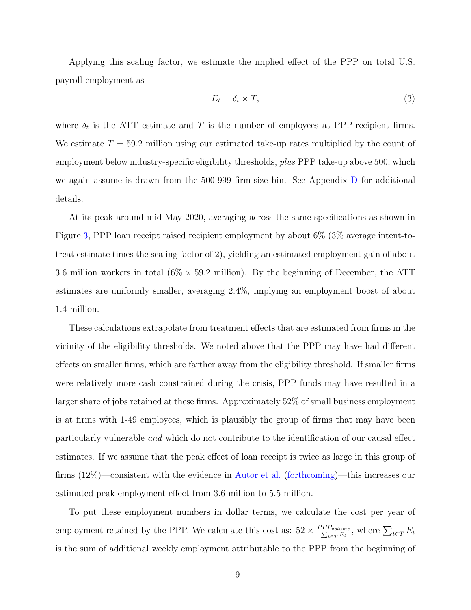Applying this scaling factor, we estimate the implied effect of the PPP on total U.S. payroll employment as

<span id="page-22-0"></span>
$$
E_t = \delta_t \times T,\tag{3}
$$

where  $\delta_t$  is the ATT estimate and T is the number of employees at PPP-recipient firms. We estimate  $T = 59.2$  million using our estimated take-up rates multiplied by the count of employment below industry-specific eligibility thresholds, *plus* PPP take-up above 500, which we again assume is drawn from the 500-999 firm-size bin. See Appendix [D](#page-35-0) for additional details.

At its peak around mid-May 2020, averaging across the same specifications as shown in Figure [3,](#page-18-0) PPP loan receipt raised recipient employment by about 6% (3% average intent-totreat estimate times the scaling factor of 2), yielding an estimated employment gain of about 3.6 million workers in total  $(6\% \times 59.2 \text{ million})$ . By the beginning of December, the ATT estimates are uniformly smaller, averaging 2.4%, implying an employment boost of about 1.4 million.

These calculations extrapolate from treatment effects that are estimated from firms in the vicinity of the eligibility thresholds. We noted above that the PPP may have had different effects on smaller firms, which are farther away from the eligibility threshold. If smaller firms were relatively more cash constrained during the crisis, PPP funds may have resulted in a larger share of jobs retained at these firms. Approximately 52% of small business employment is at firms with 1-49 employees, which is plausibly the group of firms that may have been particularly vulnerable and which do not contribute to the identification of our causal effect estimates. If we assume that the peak effect of loan receipt is twice as large in this group of firms (12%)—consistent with the evidence in [Autor et al.](#page-25-2) [\(forthcoming\)](#page-25-2)—this increases our estimated peak employment effect from 3.6 million to 5.5 million.

To put these employment numbers in dollar terms, we calculate the cost per year of employment retained by the PPP. We calculate this cost as:  $52 \times \frac{PP_{volume}}{\sum_{t \in T} E_t}$ , where  $\sum_{t \in T} E_t$ is the sum of additional weekly employment attributable to the PPP from the beginning of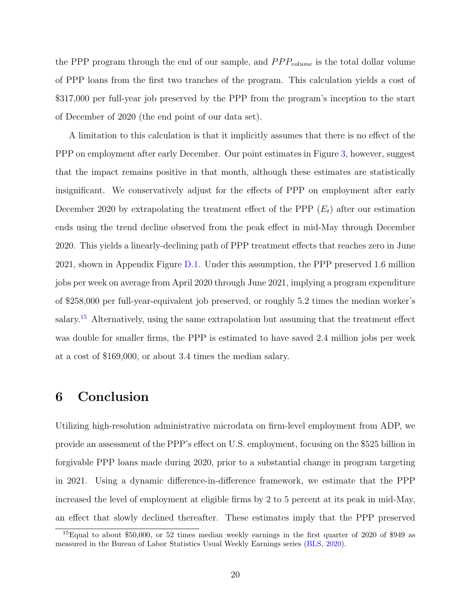the PPP program through the end of our sample, and  $PPP_{volume}$  is the total dollar volume of PPP loans from the first two tranches of the program. This calculation yields a cost of \$317,000 per full-year job preserved by the PPP from the program's inception to the start of December of 2020 (the end point of our data set).

A limitation to this calculation is that it implicitly assumes that there is no effect of the PPP on employment after early December. Our point estimates in Figure [3,](#page-18-0) however, suggest that the impact remains positive in that month, although these estimates are statistically insignificant. We conservatively adjust for the effects of PPP on employment after early December 2020 by extrapolating the treatment effect of the PPP  $(E_t)$  after our estimation ends using the trend decline observed from the peak effect in mid-May through December 2020. This yields a linearly-declining path of PPP treatment effects that reaches zero in June 2021, shown in Appendix Figure [D.1.](#page-37-0) Under this assumption, the PPP preserved 1.6 million jobs per week on average from April 2020 through June 2021, implying a program expenditure of \$258,000 per full-year-equivalent job preserved, or roughly 5.2 times the median worker's salary.<sup>[15](#page-23-0)</sup> Alternatively, using the same extrapolation but assuming that the treatment effect was double for smaller firms, the PPP is estimated to have saved 2.4 million jobs per week at a cost of \$169,000, or about 3.4 times the median salary.

## 6 Conclusion

Utilizing high-resolution administrative microdata on firm-level employment from ADP, we provide an assessment of the PPP's effect on U.S. employment, focusing on the \$525 billion in forgivable PPP loans made during 2020, prior to a substantial change in program targeting in 2021. Using a dynamic difference-in-difference framework, we estimate that the PPP increased the level of employment at eligible firms by 2 to 5 percent at its peak in mid-May, an effect that slowly declined thereafter. These estimates imply that the PPP preserved

<span id="page-23-0"></span> $^{15}$ Equal to about \$50,000, or 52 times median weekly earnings in the first quarter of 2020 of \$949 as measured in the Bureau of Labor Statistics Usual Weekly Earnings series [\(BLS,](#page-25-9) [2020\)](#page-25-9).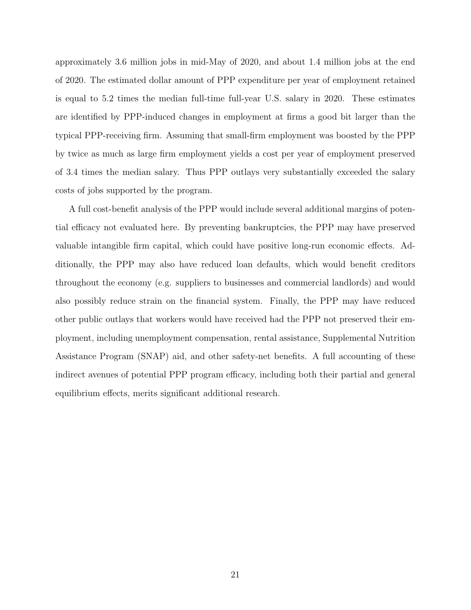approximately 3.6 million jobs in mid-May of 2020, and about 1.4 million jobs at the end of 2020. The estimated dollar amount of PPP expenditure per year of employment retained is equal to 5.2 times the median full-time full-year U.S. salary in 2020. These estimates are identified by PPP-induced changes in employment at firms a good bit larger than the typical PPP-receiving firm. Assuming that small-firm employment was boosted by the PPP by twice as much as large firm employment yields a cost per year of employment preserved of 3.4 times the median salary. Thus PPP outlays very substantially exceeded the salary costs of jobs supported by the program.

A full cost-benefit analysis of the PPP would include several additional margins of potential efficacy not evaluated here. By preventing bankruptcies, the PPP may have preserved valuable intangible firm capital, which could have positive long-run economic effects. Additionally, the PPP may also have reduced loan defaults, which would benefit creditors throughout the economy (e.g. suppliers to businesses and commercial landlords) and would also possibly reduce strain on the financial system. Finally, the PPP may have reduced other public outlays that workers would have received had the PPP not preserved their employment, including unemployment compensation, rental assistance, Supplemental Nutrition Assistance Program (SNAP) aid, and other safety-net benefits. A full accounting of these indirect avenues of potential PPP program efficacy, including both their partial and general equilibrium effects, merits significant additional research.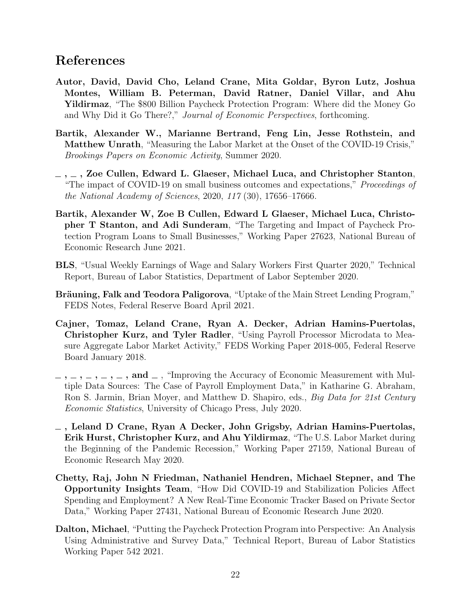#### References

- <span id="page-25-2"></span>Autor, David, David Cho, Leland Crane, Mita Goldar, Byron Lutz, Joshua Montes, William B. Peterman, David Ratner, Daniel Villar, and Ahu Yildirmaz, "The \$800 Billion Paycheck Protection Program: Where did the Money Go and Why Did it Go There?," Journal of Economic Perspectives, forthcoming.
- <span id="page-25-0"></span>Bartik, Alexander W., Marianne Bertrand, Feng Lin, Jesse Rothstein, and Matthew Unrath, "Measuring the Labor Market at the Onset of the COVID-19 Crisis," Brookings Papers on Economic Activity, Summer 2020.
- <span id="page-25-1"></span> $\sim$ ,  $\sim$ , Zoe Cullen, Edward L. Glaeser, Michael Luca, and Christopher Stanton, "The impact of COVID-19 on small business outcomes and expectations," Proceedings of the National Academy of Sciences, 2020, 117 (30), 17656–17666.
- <span id="page-25-4"></span>Bartik, Alexander W, Zoe B Cullen, Edward L Glaeser, Michael Luca, Christopher T Stanton, and Adi Sunderam, "The Targeting and Impact of Paycheck Protection Program Loans to Small Businesses," Working Paper 27623, National Bureau of Economic Research June 2021.
- <span id="page-25-9"></span>BLS, "Usual Weekly Earnings of Wage and Salary Workers First Quarter 2020," Technical Report, Bureau of Labor Statistics, Department of Labor September 2020.
- <span id="page-25-10"></span>Bräuning, Falk and Teodora Paligorova, "Uptake of the Main Street Lending Program," FEDS Notes, Federal Reserve Board April 2021.
- <span id="page-25-6"></span>Cajner, Tomaz, Leland Crane, Ryan A. Decker, Adrian Hamins-Puertolas, Christopher Kurz, and Tyler Radler, "Using Payroll Processor Microdata to Measure Aggregate Labor Market Activity," FEDS Working Paper 2018-005, Federal Reserve Board January 2018.
- <span id="page-25-7"></span> $\lambda_1, \lambda_2, \ldots, \lambda_n, \ldots$ , and  $\lambda_n$ , "Improving the Accuracy of Economic Measurement with Multiple Data Sources: The Case of Payroll Employment Data," in Katharine G. Abraham, Ron S. Jarmin, Brian Moyer, and Matthew D. Shapiro, eds., *Big Data for 21st Century* Economic Statistics, University of Chicago Press, July 2020.
- <span id="page-25-8"></span>, Leland D Crane, Ryan A Decker, John Grigsby, Adrian Hamins-Puertolas, Erik Hurst, Christopher Kurz, and Ahu Yildirmaz, "The U.S. Labor Market during the Beginning of the Pandemic Recession," Working Paper 27159, National Bureau of Economic Research May 2020.
- <span id="page-25-5"></span>Chetty, Raj, John N Friedman, Nathaniel Hendren, Michael Stepner, and The Opportunity Insights Team, "How Did COVID-19 and Stabilization Policies Affect Spending and Employment? A New Real-Time Economic Tracker Based on Private Sector Data," Working Paper 27431, National Bureau of Economic Research June 2020.
- <span id="page-25-3"></span>Dalton, Michael, "Putting the Paycheck Protection Program into Perspective: An Analysis Using Administrative and Survey Data," Technical Report, Bureau of Labor Statistics Working Paper 542 2021.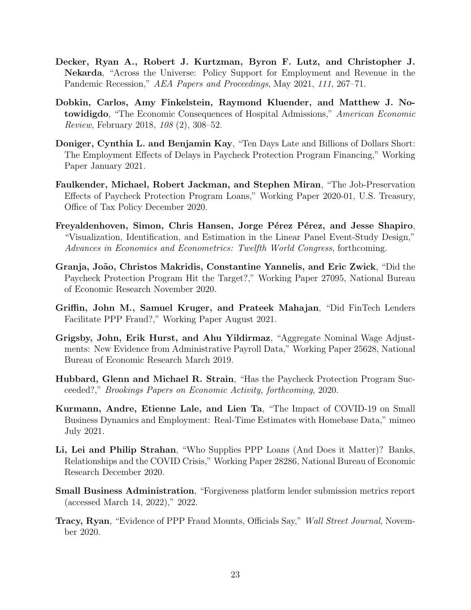- <span id="page-26-13"></span><span id="page-26-8"></span>Decker, Ryan A., Robert J. Kurtzman, Byron F. Lutz, and Christopher J. Nekarda, "Across the Universe: Policy Support for Employment and Revenue in the Pandemic Recession," AEA Papers and Proceedings, May 2021, 111, 267–71.
- <span id="page-26-10"></span>Dobkin, Carlos, Amy Finkelstein, Raymond Kluender, and Matthew J. Notowidigdo, "The Economic Consequences of Hospital Admissions," American Economic Review, February 2018, 108 (2), 308–52.
- <span id="page-26-3"></span>Doniger, Cynthia L. and Benjamin Kay, "Ten Days Late and Billions of Dollars Short: The Employment Effects of Delays in Paycheck Protection Program Financing," Working Paper January 2021.
- <span id="page-26-4"></span>Faulkender, Michael, Robert Jackman, and Stephen Miran, "The Job-Preservation Effects of Paycheck Protection Program Loans," Working Paper 2020-01, U.S. Treasury, Office of Tax Policy December 2020.
- <span id="page-26-9"></span>Freyaldenhoven, Simon, Chris Hansen, Jorge Pérez Pérez, and Jesse Shapiro, "Visualization, Identification, and Estimation in the Linear Panel Event-Study Design," Advances in Economics and Econometrics: Twelfth World Congress, forthcoming.
- <span id="page-26-1"></span>Granja, Jo˜ao, Christos Makridis, Constantine Yannelis, and Eric Zwick, "Did the Paycheck Protection Program Hit the Target?," Working Paper 27095, National Bureau of Economic Research November 2020.
- <span id="page-26-12"></span>Griffin, John M., Samuel Kruger, and Prateek Mahajan, "Did FinTech Lenders Facilitate PPP Fraud?," Working Paper August 2021.
- <span id="page-26-7"></span>Grigsby, John, Erik Hurst, and Ahu Yildirmaz, "Aggregate Nominal Wage Adjustments: New Evidence from Administrative Payroll Data," Working Paper 25628, National Bureau of Economic Research March 2019.
- <span id="page-26-0"></span>Hubbard, Glenn and Michael R. Strain, "Has the Paycheck Protection Program Succeeded?," Brookings Papers on Economic Activity, forthcoming, 2020.
- <span id="page-26-5"></span>Kurmann, Andre, Etienne Lale, and Lien Ta, "The Impact of COVID-19 on Small Business Dynamics and Employment: Real-Time Estimates with Homebase Data," mimeo July 2021.
- <span id="page-26-2"></span>Li, Lei and Philip Strahan, "Who Supplies PPP Loans (And Does it Matter)? Banks, Relationships and the COVID Crisis," Working Paper 28286, National Bureau of Economic Research December 2020.
- <span id="page-26-6"></span>Small Business Administration, "Forgiveness platform lender submission metrics report (accessed March 14, 2022)," 2022.
- <span id="page-26-11"></span>Tracy, Ryan, "Evidence of PPP Fraud Mounts, Officials Say," Wall Street Journal, November 2020.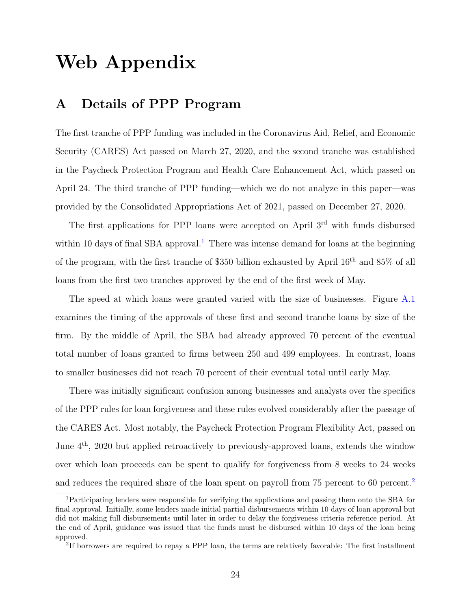## Web Appendix

## <span id="page-27-0"></span>A Details of PPP Program

The first tranche of PPP funding was included in the Coronavirus Aid, Relief, and Economic Security (CARES) Act passed on March 27, 2020, and the second tranche was established in the Paycheck Protection Program and Health Care Enhancement Act, which passed on April 24. The third tranche of PPP funding—which we do not analyze in this paper—was provided by the Consolidated Appropriations Act of 2021, passed on December 27, 2020.

The first applications for PPP loans were accepted on April 3<sup>rd</sup> with funds disbursed within [1](#page-27-1)0 days of final SBA approval.<sup>1</sup> There was intense demand for loans at the beginning of the program, with the first tranche of \$350 billion exhausted by April 16th and 85% of all loans from the first two tranches approved by the end of the first week of May.

The speed at which loans were granted varied with the size of businesses. Figure [A.1](#page-28-1) examines the timing of the approvals of these first and second tranche loans by size of the firm. By the middle of April, the SBA had already approved 70 percent of the eventual total number of loans granted to firms between 250 and 499 employees. In contrast, loans to smaller businesses did not reach 70 percent of their eventual total until early May.

There was initially significant confusion among businesses and analysts over the specifics of the PPP rules for loan forgiveness and these rules evolved considerably after the passage of the CARES Act. Most notably, the Paycheck Protection Program Flexibility Act, passed on June 4th, 2020 but applied retroactively to previously-approved loans, extends the window over which loan proceeds can be spent to qualify for forgiveness from 8 weeks to 24 weeks and reduces the required share of the loan spent on payroll from 75 percent to 60 percent.[2](#page-27-2)

<span id="page-27-1"></span><sup>1</sup>Participating lenders were responsible for verifying the applications and passing them onto the SBA for final approval. Initially, some lenders made initial partial disbursements within 10 days of loan approval but did not making full disbursements until later in order to delay the forgiveness criteria reference period. At the end of April, guidance was issued that the funds must be disbursed within 10 days of the loan being approved.

<span id="page-27-2"></span><sup>&</sup>lt;sup>2</sup>If borrowers are required to repay a PPP loan, the terms are relatively favorable: The first installment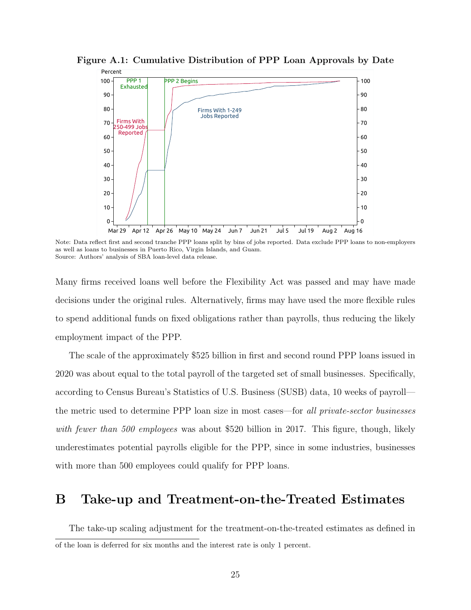

<span id="page-28-1"></span>Figure A.1: Cumulative Distribution of PPP Loan Approvals by Date

Note: Data reflect first and second tranche PPP loans split by bins of jobs reported. Data exclude PPP loans to non-employers as well as loans to businesses in Puerto Rico, Virgin Islands, and Guam. Source: Authors' analysis of SBA loan-level data release.

Many firms received loans well before the Flexibility Act was passed and may have made decisions under the original rules. Alternatively, firms may have used the more flexible rules to spend additional funds on fixed obligations rather than payrolls, thus reducing the likely employment impact of the PPP.

The scale of the approximately \$525 billion in first and second round PPP loans issued in 2020 was about equal to the total payroll of the targeted set of small businesses. Specifically, according to Census Bureau's Statistics of U.S. Business (SUSB) data, 10 weeks of payroll the metric used to determine PPP loan size in most cases—for all private-sector businesses with fewer than 500 employees was about \$520 billion in 2017. This figure, though, likely underestimates potential payrolls eligible for the PPP, since in some industries, businesses with more than 500 employees could qualify for PPP loans.

#### <span id="page-28-0"></span>B Take-up and Treatment-on-the-Treated Estimates

The take-up scaling adjustment for the treatment-on-the-treated estimates as defined in of the loan is deferred for six months and the interest rate is only 1 percent.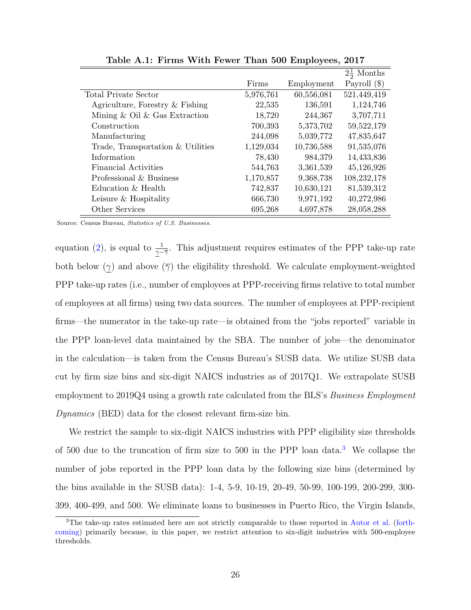|                                     |           |            | $2\frac{1}{2}$ Months |
|-------------------------------------|-----------|------------|-----------------------|
|                                     | Firms     | Employment | Payroll $(\$)$        |
| <b>Total Private Sector</b>         | 5,976,761 | 60,556,081 | 521,449,419           |
| Agriculture, Forestry & Fishing     | 22,535    | 136,591    | 1,124,746             |
| Mining $\&$ Oil $\&$ Gas Extraction | 18,720    | 244,367    | 3,707,711             |
| Construction                        | 700,393   | 5,373,702  | 59,522,179            |
| Manufacturing                       | 244,098   | 5,039,772  | 47,835,647            |
| Trade, Transportation & Utilities   | 1,129,034 | 10,736,588 | 91,535,076            |
| Information                         | 78,430    | 984,379    | 14,433,836            |
| Financial Activities                | 544,763   | 3,361,539  | 45,126,926            |
| Professional & Business             | 1,170,857 | 9,368,738  | 108,232,178           |
| Education & Health                  | 742,837   | 10,630,121 | 81,539,312            |
| Leisure & Hospitality               | 666,730   | 9,971,192  | 40,272,986            |
| Other Services                      | 695,268   | 4,697,878  | 28,058,288            |

Table A.1: Firms With Fewer Than 500 Employees, 2017

Source: Census Bureau, Statistics of U.S. Businesses.

equation [\(2\)](#page-20-2), is equal to  $\frac{1}{\gamma - \overline{\gamma}}$ . This adjustment requires estimates of the PPP take-up rate both below  $(\gamma)$  and above  $(\overline{\gamma})$  the eligibility threshold. We calculate employment-weighted PPP take-up rates (i.e., number of employees at PPP-receiving firms relative to total number of employees at all firms) using two data sources. The number of employees at PPP-recipient firms—the numerator in the take-up rate—is obtained from the "jobs reported" variable in the PPP loan-level data maintained by the SBA. The number of jobs—the denominator in the calculation—is taken from the Census Bureau's SUSB data. We utilize SUSB data cut by firm size bins and six-digit NAICS industries as of 2017Q1. We extrapolate SUSB employment to 2019Q4 using a growth rate calculated from the BLS's *Business Employment* Dynamics (BED) data for the closest relevant firm-size bin.

We restrict the sample to six-digit NAICS industries with PPP eligibility size thresholds of 500 due to the truncation of firm size to 500 in the PPP loan data.[3](#page-29-0) We collapse the number of jobs reported in the PPP loan data by the following size bins (determined by the bins available in the SUSB data): 1-4, 5-9, 10-19, 20-49, 50-99, 100-199, 200-299, 300- 399, 400-499, and 500. We eliminate loans to businesses in Puerto Rico, the Virgin Islands,

<span id="page-29-0"></span><sup>3</sup>The take-up rates estimated here are not strictly comparable to those reported in [Autor et al.](#page-25-2) [\(forth](#page-25-2)[coming\)](#page-25-2) primarily because, in this paper, we restrict attention to six-digit industries with 500-employee thresholds.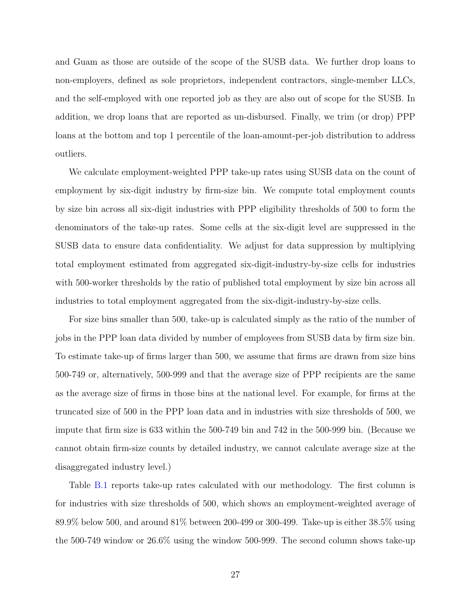and Guam as those are outside of the scope of the SUSB data. We further drop loans to non-employers, defined as sole proprietors, independent contractors, single-member LLCs, and the self-employed with one reported job as they are also out of scope for the SUSB. In addition, we drop loans that are reported as un-disbursed. Finally, we trim (or drop) PPP loans at the bottom and top 1 percentile of the loan-amount-per-job distribution to address outliers.

We calculate employment-weighted PPP take-up rates using SUSB data on the count of employment by six-digit industry by firm-size bin. We compute total employment counts by size bin across all six-digit industries with PPP eligibility thresholds of 500 to form the denominators of the take-up rates. Some cells at the six-digit level are suppressed in the SUSB data to ensure data confidentiality. We adjust for data suppression by multiplying total employment estimated from aggregated six-digit-industry-by-size cells for industries with 500-worker thresholds by the ratio of published total employment by size bin across all industries to total employment aggregated from the six-digit-industry-by-size cells.

For size bins smaller than 500, take-up is calculated simply as the ratio of the number of jobs in the PPP loan data divided by number of employees from SUSB data by firm size bin. To estimate take-up of firms larger than 500, we assume that firms are drawn from size bins 500-749 or, alternatively, 500-999 and that the average size of PPP recipients are the same as the average size of firms in those bins at the national level. For example, for firms at the truncated size of 500 in the PPP loan data and in industries with size thresholds of 500, we impute that firm size is 633 within the 500-749 bin and 742 in the 500-999 bin. (Because we cannot obtain firm-size counts by detailed industry, we cannot calculate average size at the disaggregated industry level.)

Table [B.1](#page-31-0) reports take-up rates calculated with our methodology. The first column is for industries with size thresholds of 500, which shows an employment-weighted average of 89.9% below 500, and around 81% between 200-499 or 300-499. Take-up is either 38.5% using the 500-749 window or 26.6% using the window 500-999. The second column shows take-up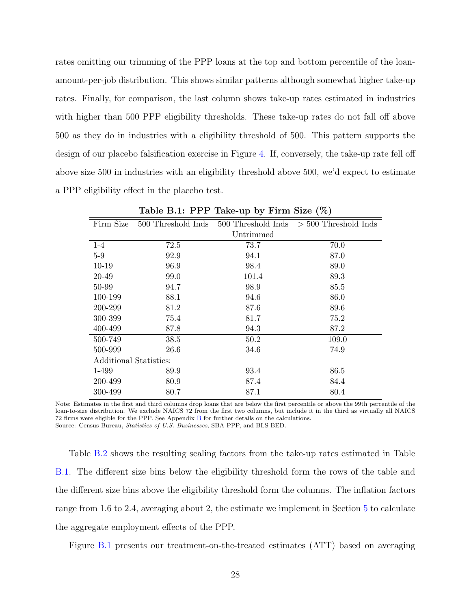rates omitting our trimming of the PPP loans at the top and bottom percentile of the loanamount-per-job distribution. This shows similar patterns although somewhat higher take-up rates. Finally, for comparison, the last column shows take-up rates estimated in industries with higher than 500 PPP eligibility thresholds. These take-up rates do not fall off above 500 as they do in industries with a eligibility threshold of 500. This pattern supports the design of our placebo falsification exercise in Figure [4.](#page-20-0) If, conversely, the take-up rate fell off above size 500 in industries with an eligibility threshold above 500, we'd expect to estimate a PPP eligibility effect in the placebo test.

<span id="page-31-0"></span>

| Firm Size              | 500 Threshold Inds | 500 Threshold Inds | $>$ 500 Threshold Inds |  |
|------------------------|--------------------|--------------------|------------------------|--|
|                        |                    | Untrimmed          |                        |  |
| $1 - 4$                | 72.5               | 73.7               | 70.0                   |  |
| $5-9$                  | 92.9               | 94.1               | 87.0                   |  |
| $10-19$                | 96.9               | 98.4               | 89.0                   |  |
| 20-49                  | 99.0               | 101.4              | 89.3                   |  |
| 50-99                  | 94.7               | 98.9               | 85.5                   |  |
| 100-199                | 88.1               | 94.6               | 86.0                   |  |
| 200-299                | 81.2               | 87.6               | 89.6                   |  |
| 300-399                | 75.4               | 81.7               | 75.2                   |  |
| 400-499                | 87.8               | 94.3               | 87.2                   |  |
| 500-749                | 38.5               | 50.2               | 109.0                  |  |
| 500-999                | 26.6               | 34.6               | 74.9                   |  |
| Additional Statistics: |                    |                    |                        |  |
| 1-499                  | 89.9               | 93.4               | 86.5                   |  |
| 200-499                | 80.9               | 87.4               | 84.4                   |  |
| 300-499                | 80.7               | 87.1               | 80.4                   |  |

Table B.1: PPP Take-up by Firm Size (%)

Note: Estimates in the first and third columns drop loans that are below the first percentile or above the 99th percentile of the loan-to-size distribution. We exclude NAICS 72 from the first two columns, but include it in the third as virtually all NAICS 72 firms were eligible for the PPP. See Appendix [B](#page-28-0) for further details on the calculations. Source: Census Bureau, Statistics of U.S. Businesses, SBA PPP, and BLS BED.

Table [B.2](#page-32-0) shows the resulting scaling factors from the take-up rates estimated in Table [B.1.](#page-31-0) The different size bins below the eligibility threshold form the rows of the table and the different size bins above the eligibility threshold form the columns. The inflation factors range from 1.6 to 2.4, averaging about 2, the estimate we implement in Section [5](#page-20-3) to calculate the aggregate employment effects of the PPP.

Figure [B.1](#page-32-1) presents our treatment-on-the-treated estimates (ATT) based on averaging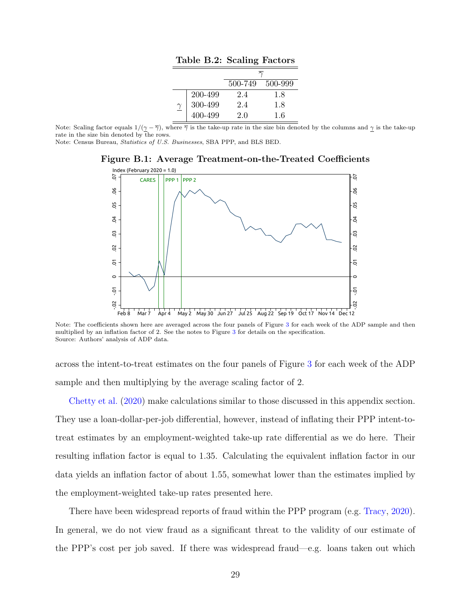| Table B.2: Scaling Factors |                    |         |         |  |
|----------------------------|--------------------|---------|---------|--|
|                            |                    |         |         |  |
|                            |                    | 500-749 | 500-999 |  |
|                            | 200-499            | 24      | 1.8     |  |
|                            | 300-499<br>400-499 | 2.4     | 1.8     |  |
|                            |                    | 2.0     | 16      |  |

<span id="page-32-0"></span>Note: Scaling factor equals  $1/(\gamma - \overline{\gamma})$ , where  $\overline{\gamma}$  is the take-up rate in the size bin denoted by the columns and  $\gamma$  is the take-up rate in the size bin denoted by the rows.

<span id="page-32-1"></span>Note: Census Bureau, Statistics of U.S. Businesses, SBA PPP, and BLS BED.

Figure B.1: Average Treatment-on-the-Treated Coefficients



Note: The coefficients shown here are averaged across the four panels of Figure [3](#page-18-0) for each week of the ADP sample and then multiplied by an inflation factor of 2. See the notes to Figure [3](#page-18-0) for details on the specification. Source: Authors' analysis of ADP data.

across the intent-to-treat estimates on the four panels of Figure [3](#page-18-0) for each week of the ADP sample and then multiplying by the average scaling factor of 2.

[Chetty et al.](#page-25-5) [\(2020\)](#page-25-5) make calculations similar to those discussed in this appendix section. They use a loan-dollar-per-job differential, however, instead of inflating their PPP intent-totreat estimates by an employment-weighted take-up rate differential as we do here. Their resulting inflation factor is equal to 1.35. Calculating the equivalent inflation factor in our data yields an inflation factor of about 1.55, somewhat lower than the estimates implied by the employment-weighted take-up rates presented here.

There have been widespread reports of fraud within the PPP program (e.g. [Tracy,](#page-26-11) [2020\)](#page-26-11). In general, we do not view fraud as a significant threat to the validity of our estimate of the PPP's cost per job saved. If there was widespread fraud—e.g. loans taken out which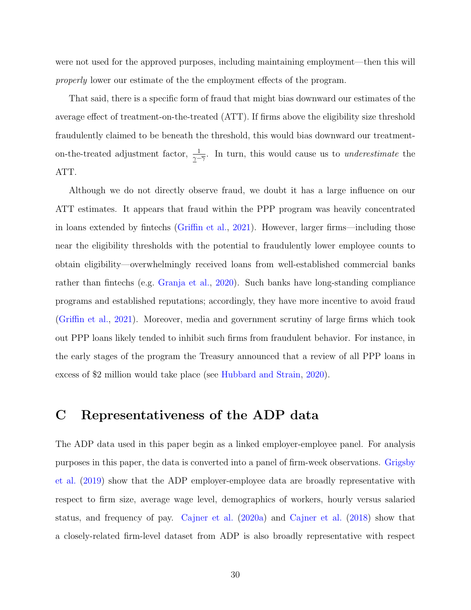were not used for the approved purposes, including maintaining employment—then this will properly lower our estimate of the the employment effects of the program.

That said, there is a specific form of fraud that might bias downward our estimates of the average effect of treatment-on-the-treated (ATT). If firms above the eligibility size threshold fraudulently claimed to be beneath the threshold, this would bias downward our treatmenton-the-treated adjustment factor,  $\frac{1}{\gamma - \overline{\gamma}}$ . In turn, this would cause us to *underestimate* the ATT.

Although we do not directly observe fraud, we doubt it has a large influence on our ATT estimates. It appears that fraud within the PPP program was heavily concentrated in loans extended by fintechs [\(Griffin et al.,](#page-26-12) [2021\)](#page-26-12). However, larger firms—including those near the eligibility thresholds with the potential to fraudulently lower employee counts to obtain eligibility—overwhelmingly received loans from well-established commercial banks rather than fintechs (e.g. [Granja et al.,](#page-26-1) [2020\)](#page-26-1). Such banks have long-standing compliance programs and established reputations; accordingly, they have more incentive to avoid fraud [\(Griffin et al.,](#page-26-12) [2021\)](#page-26-12). Moreover, media and government scrutiny of large firms which took out PPP loans likely tended to inhibit such firms from fraudulent behavior. For instance, in the early stages of the program the Treasury announced that a review of all PPP loans in excess of \$2 million would take place (see [Hubbard and Strain,](#page-26-0) [2020\)](#page-26-0).

#### <span id="page-33-0"></span>C Representativeness of the ADP data

The ADP data used in this paper begin as a linked employer-employee panel. For analysis purposes in this paper, the data is converted into a panel of firm-week observations. [Grigsby](#page-26-7) [et al.](#page-26-7) [\(2019\)](#page-26-7) show that the ADP employer-employee data are broadly representative with respect to firm size, average wage level, demographics of workers, hourly versus salaried status, and frequency of pay. [Cajner et al.](#page-25-7) [\(2020a\)](#page-25-7) and [Cajner et al.](#page-25-6) [\(2018\)](#page-25-6) show that a closely-related firm-level dataset from ADP is also broadly representative with respect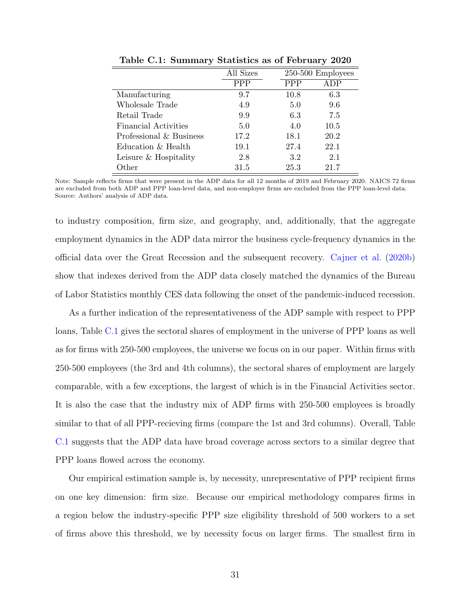<span id="page-34-0"></span>

|                         | All Sizes  |            | $250-500$ Employees |  |
|-------------------------|------------|------------|---------------------|--|
|                         | <b>PPP</b> | <b>PPP</b> | ADP                 |  |
| Manufacturing           | 9.7        | 10.8       | 6.3                 |  |
| Wholesale Trade         | 4.9        | 5.0        | 9.6                 |  |
| Retail Trade            | 9.9        | 6.3        | 7.5                 |  |
| Financial Activities    | 5.0        | 4.0        | 10.5                |  |
| Professional & Business | 17.2       | 18.1       | 20.2                |  |
| Education & Health      | 19.1       | 27.4       | 22.1                |  |
| Leisure & Hospitality   | 2.8        | 3.2        | 2.1                 |  |
| Other                   | 31.5       | 25.3       | 21.7                |  |

Table C.1: Summary Statistics as of February 2020

Note: Sample reflects firms that were present in the ADP data for all 12 months of 2019 and February 2020. NAICS 72 firms are excluded from both ADP and PPP loan-level data, and non-employer firms are excluded from the PPP loan-level data. Source: Authors' analysis of ADP data.

to industry composition, firm size, and geography, and, additionally, that the aggregate employment dynamics in the ADP data mirror the business cycle-frequency dynamics in the official data over the Great Recession and the subsequent recovery. [Cajner et al.](#page-25-8) [\(2020b\)](#page-25-8) show that indexes derived from the ADP data closely matched the dynamics of the Bureau of Labor Statistics monthly CES data following the onset of the pandemic-induced recession.

As a further indication of the representativeness of the ADP sample with respect to PPP loans, Table [C.1](#page-34-0) gives the sectoral shares of employment in the universe of PPP loans as well as for firms with 250-500 employees, the universe we focus on in our paper. Within firms with 250-500 employees (the 3rd and 4th columns), the sectoral shares of employment are largely comparable, with a few exceptions, the largest of which is in the Financial Activities sector. It is also the case that the industry mix of ADP firms with 250-500 employees is broadly similar to that of all PPP-recieving firms (compare the 1st and 3rd columns). Overall, Table [C.1](#page-34-0) suggests that the ADP data have broad coverage across sectors to a similar degree that PPP loans flowed across the economy.

Our empirical estimation sample is, by necessity, unrepresentative of PPP recipient firms on one key dimension: firm size. Because our empirical methodology compares firms in a region below the industry-specific PPP size eligibility threshold of 500 workers to a set of firms above this threshold, we by necessity focus on larger firms. The smallest firm in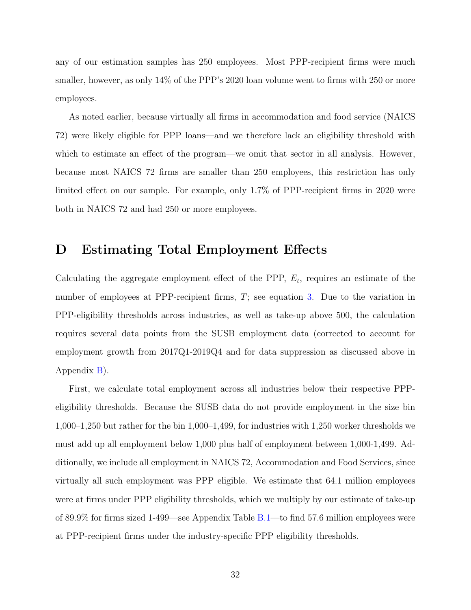any of our estimation samples has 250 employees. Most PPP-recipient firms were much smaller, however, as only 14% of the PPP's 2020 loan volume went to firms with 250 or more employees.

As noted earlier, because virtually all firms in accommodation and food service (NAICS 72) were likely eligible for PPP loans—and we therefore lack an eligibility threshold with which to estimate an effect of the program—we omit that sector in all analysis. However, because most NAICS 72 firms are smaller than 250 employees, this restriction has only limited effect on our sample. For example, only 1.7% of PPP-recipient firms in 2020 were both in NAICS 72 and had 250 or more employees.

#### <span id="page-35-0"></span>D Estimating Total Employment Effects

Calculating the aggregate employment effect of the PPP,  $E_t$ , requires an estimate of the number of employees at PPP-recipient firms, T; see equation [3.](#page-22-0) Due to the variation in PPP-eligibility thresholds across industries, as well as take-up above 500, the calculation requires several data points from the SUSB employment data (corrected to account for employment growth from 2017Q1-2019Q4 and for data suppression as discussed above in Appendix [B\)](#page-28-0).

First, we calculate total employment across all industries below their respective PPPeligibility thresholds. Because the SUSB data do not provide employment in the size bin 1,000–1,250 but rather for the bin 1,000–1,499, for industries with 1,250 worker thresholds we must add up all employment below 1,000 plus half of employment between 1,000-1,499. Additionally, we include all employment in NAICS 72, Accommodation and Food Services, since virtually all such employment was PPP eligible. We estimate that 64.1 million employees were at firms under PPP eligibility thresholds, which we multiply by our estimate of take-up of 89.9% for firms sized 1-499—see Appendix Table [B.1—](#page-31-0)to find 57.6 million employees were at PPP-recipient firms under the industry-specific PPP eligibility thresholds.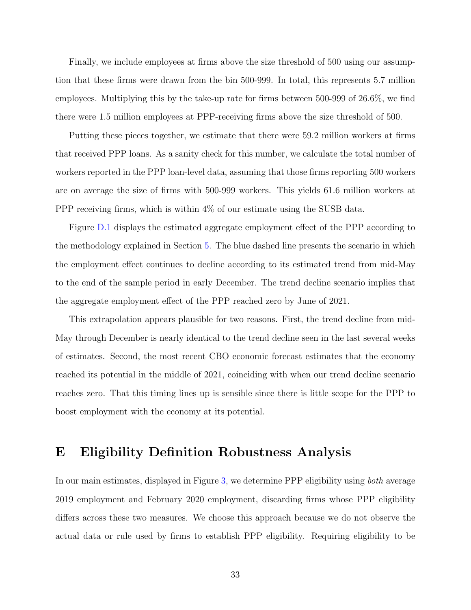Finally, we include employees at firms above the size threshold of 500 using our assumption that these firms were drawn from the bin 500-999. In total, this represents 5.7 million employees. Multiplying this by the take-up rate for firms between 500-999 of 26.6%, we find there were 1.5 million employees at PPP-receiving firms above the size threshold of 500.

Putting these pieces together, we estimate that there were 59.2 million workers at firms that received PPP loans. As a sanity check for this number, we calculate the total number of workers reported in the PPP loan-level data, assuming that those firms reporting 500 workers are on average the size of firms with 500-999 workers. This yields 61.6 million workers at PPP receiving firms, which is within 4% of our estimate using the SUSB data.

Figure [D.1](#page-37-0) displays the estimated aggregate employment effect of the PPP according to the methodology explained in Section [5.](#page-20-3) The blue dashed line presents the scenario in which the employment effect continues to decline according to its estimated trend from mid-May to the end of the sample period in early December. The trend decline scenario implies that the aggregate employment effect of the PPP reached zero by June of 2021.

This extrapolation appears plausible for two reasons. First, the trend decline from mid-May through December is nearly identical to the trend decline seen in the last several weeks of estimates. Second, the most recent CBO economic forecast estimates that the economy reached its potential in the middle of 2021, coinciding with when our trend decline scenario reaches zero. That this timing lines up is sensible since there is little scope for the PPP to boost employment with the economy at its potential.

#### <span id="page-36-0"></span>E Eligibility Definition Robustness Analysis

In our main estimates, displayed in Figure [3,](#page-18-0) we determine PPP eligibility using both average 2019 employment and February 2020 employment, discarding firms whose PPP eligibility differs across these two measures. We choose this approach because we do not observe the actual data or rule used by firms to establish PPP eligibility. Requiring eligibility to be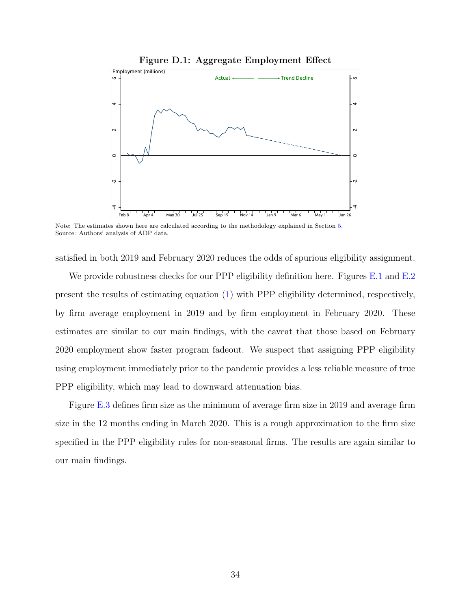<span id="page-37-0"></span>

Note: The estimates shown here are calculated according to the methodology explained in Section [5.](#page-20-3) Source: Authors' analysis of ADP data.

satisfied in both 2019 and February 2020 reduces the odds of spurious eligibility assignment.

We provide robustness checks for our PPP eligibility definition here. Figures [E.1](#page-38-0) and [E.2](#page-39-0) present the results of estimating equation [\(1\)](#page-14-1) with PPP eligibility determined, respectively, by firm average employment in 2019 and by firm employment in February 2020. These estimates are similar to our main findings, with the caveat that those based on February 2020 employment show faster program fadeout. We suspect that assigning PPP eligibility using employment immediately prior to the pandemic provides a less reliable measure of true PPP eligibility, which may lead to downward attenuation bias.

Figure [E.3](#page-40-0) defines firm size as the minimum of average firm size in 2019 and average firm size in the 12 months ending in March 2020. This is a rough approximation to the firm size specified in the PPP eligibility rules for non-seasonal firms. The results are again similar to our main findings.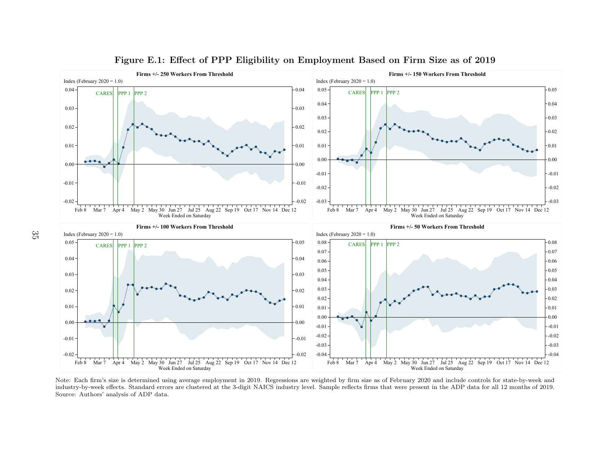

#### <span id="page-38-0"></span>Figure E.1: Effect of PPP Eligibility on Employment Based on Firm Size as of <sup>2019</sup>

 industry-by-week effects. Standard errors are clustered at the 3-digit NAICS industry level. Sample reflects firms that were present in the ADP data for all 12 months of 2019. Note: Each firm's size is determined using average employment in 2019. Regressions are weighted by firm size as of February <sup>2020</sup> and include controls for state-by-week andMar 7 Apr 4 May 2 May 30 Jun 27 Jul 25 Aug 22 Sep 19 Oct 17 Nov 14 Dec 12<br>Week Ended on Saturday<br>th firm's size is determined using average employment in 2019. Regressions<br>by-week effects. Standard errors are clustered at Mar 7 Apr 4 May 2 May 30 Jun 27 Jul 25 Aug 22 Sep 19 Oct 17 Nov 14 Dec 12<br>Week Ended on Saturday<br>by firm size as of February 2020 and include controls for state-by-week are reflects firms that were present in the ADP data Source: Authors' analysis of ADP data.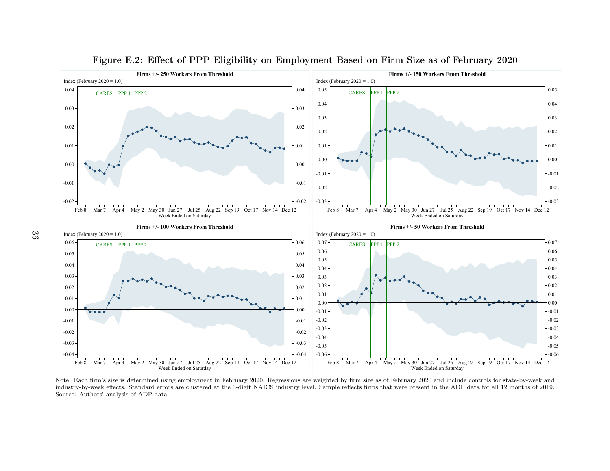

<span id="page-39-0"></span>Figure E.2: Effect of PPP Eligibility on Employment Based on Firm Size as of February <sup>2020</sup>

 industry-by-week effects. Standard errors are clustered at the 3-digit NAICS industry level. Sample reflects firms that were present in the ADP data for all 12 months of 2019. Note: Each firm's size is determined using employment in February 2020. Regressions are weighted by firm size as of February <sup>2020</sup> and include controls for state-by-week andMar 7 Apr 4 May 2 May 30 Jun 27 Jul 25 Aug 22 Sep 19 Oct 17 Nov 14 Dec 12<br>Week Ended on Saturday<br>the firm's size is determined using employment in February 2020. Regressior<br>by-week effects. Standard errors are clustered at Mar 7 Apr 4 May 2 May 30 Jun 27 Jul 25 Aug 22 Sep 19 Oct 17 Nov 14 Dec 12<br>Week Ended on Saturday<br>1 by firm size as of February 2020 and include controls for state-by-week are reflects firms that were present in the ADP dat Source: Authors' analysis of ADP data.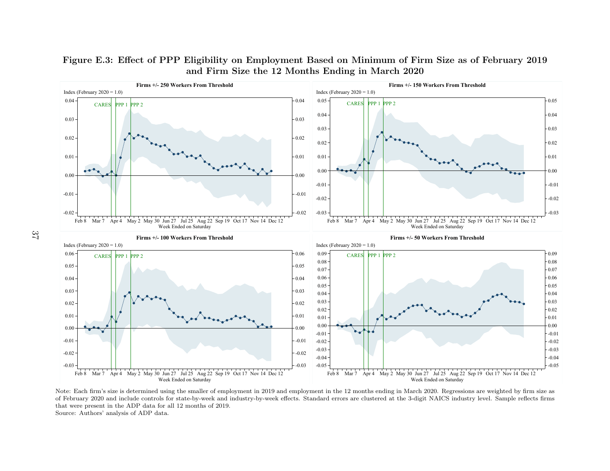

#### <span id="page-40-0"></span>Figure E.3: Effect of PPP Eligibility on Employment Based on Minimum of Firm Size as of February <sup>2019</sup>and Firm Size the 12 Months Ending in March 2020

 of February 2020 and include controls for state-by-week and industry-by-week effects. Standard errors are clustered at the 3-digit NAICS industry level. Sample reflects firms Source: Authors' analysis of ADP data. Note: Each firm's size is determined using the smaller of employment in <sup>2019</sup> and employment in the <sup>12</sup> months ending in March 2020. Regressions are weighted by firm size asMar 7 Apr 4 May 2 May 30 Jun 27 Jul 25 Aug 22 Sep 19 Oct 17 Nov 14 Dec 12<br>Week Ended on Saturday<br>the firm's size is determined using the smaller of employment in 2019 and<br>y 2020 and include controls for state-by-week and i Mar 7 Apr 4 May 2 May 30 Jun 27 Jul 25 Aug 22 Sep 19 Oct 17 Nov 14 Dec 12<br>Week Ended on Saturday<br>he 12 months ending in March 2020. Regressions are weighted by firm<br>rors are clustered at the 3-digit NAICS industry level. S that were present in the ADP data for all 12 months of 2019.

37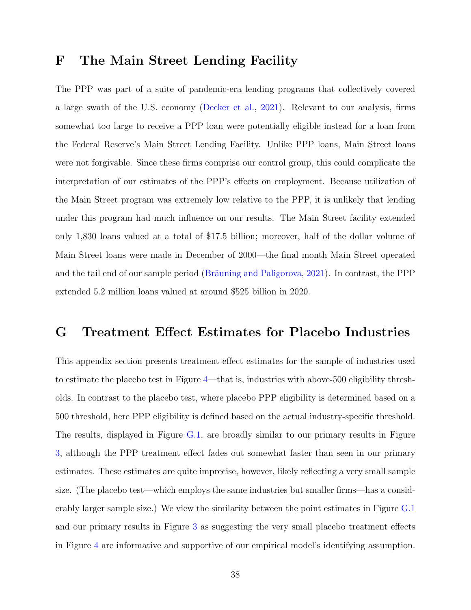#### <span id="page-41-0"></span>F The Main Street Lending Facility

The PPP was part of a suite of pandemic-era lending programs that collectively covered a large swath of the U.S. economy [\(Decker et al.,](#page-26-8) [2021\)](#page-26-8). Relevant to our analysis, firms somewhat too large to receive a PPP loan were potentially eligible instead for a loan from the Federal Reserve's Main Street Lending Facility. Unlike PPP loans, Main Street loans were not forgivable. Since these firms comprise our control group, this could complicate the interpretation of our estimates of the PPP's effects on employment. Because utilization of the Main Street program was extremely low relative to the PPP, it is unlikely that lending under this program had much influence on our results. The Main Street facility extended only 1,830 loans valued at a total of \$17.5 billion; moreover, half of the dollar volume of Main Street loans were made in December of 2000—the final month Main Street operated and the tail end of our sample period (Bräuning and Paligorova,  $2021$ ). In contrast, the PPP extended 5.2 million loans valued at around \$525 billion in 2020.

#### <span id="page-41-1"></span>G Treatment Effect Estimates for Placebo Industries

This appendix section presents treatment effect estimates for the sample of industries used to estimate the placebo test in Figure [4—](#page-20-0)that is, industries with above-500 eligibility thresholds. In contrast to the placebo test, where placebo PPP eligibility is determined based on a 500 threshold, here PPP eligibility is defined based on the actual industry-specific threshold. The results, displayed in Figure [G.1,](#page-42-1) are broadly similar to our primary results in Figure [3,](#page-18-0) although the PPP treatment effect fades out somewhat faster than seen in our primary estimates. These estimates are quite imprecise, however, likely reflecting a very small sample size. (The placebo test—which employs the same industries but smaller firms—has a considerably larger sample size.) We view the similarity between the point estimates in Figure [G.1](#page-42-1) and our primary results in Figure [3](#page-18-0) as suggesting the very small placebo treatment effects in Figure [4](#page-20-0) are informative and supportive of our empirical model's identifying assumption.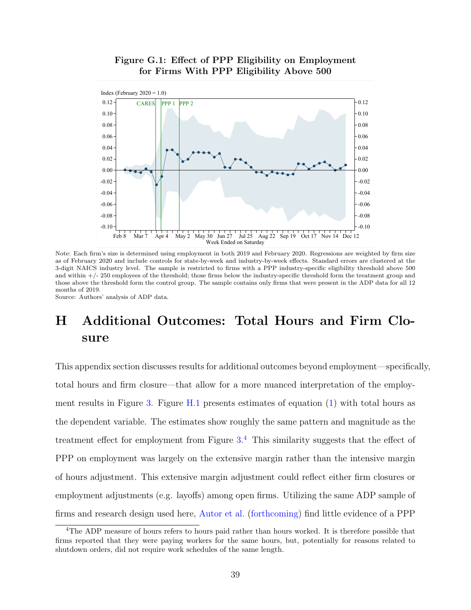<span id="page-42-1"></span>

Figure G.1: Effect of PPP Eligibility on Employment for Firms With PPP Eligibility Above 500

Note: Each firm's size is determined using employment in both 2019 and February 2020. Regressions are weighted by firm size as of February 2020 and include controls for state-by-week and industry-by-week effects. Standard errors are clustered at the 3-digit NAICS industry level. The sample is restricted to firms with a PPP industry-specific eligibility threshold above 500 and within  $+/- 250$  employees of the threshold; those firms below the industry-specific threshold form the treatment group and those above the threshold form the control group. The sample contains only firms that were present in the ADP data for all 12 months of 2019.

Source: Authors' analysis of ADP data.

## <span id="page-42-0"></span>H Additional Outcomes: Total Hours and Firm Closure

This appendix section discusses results for additional outcomes beyond employment—specifically, total hours and firm closure—that allow for a more nuanced interpretation of the employment results in Figure [3.](#page-18-0) Figure [H.1](#page-44-0) presents estimates of equation [\(1\)](#page-14-1) with total hours as the dependent variable. The estimates show roughly the same pattern and magnitude as the treatment effect for employment from Figure  $3<sup>4</sup>$  $3<sup>4</sup>$  $3<sup>4</sup>$ . This similarity suggests that the effect of PPP on employment was largely on the extensive margin rather than the intensive margin of hours adjustment. This extensive margin adjustment could reflect either firm closures or employment adjustments (e.g. layoffs) among open firms. Utilizing the same ADP sample of firms and research design used here, [Autor et al.](#page-25-2) [\(forthcoming\)](#page-25-2) find little evidence of a PPP

<span id="page-42-2"></span><sup>4</sup>The ADP measure of hours refers to hours paid rather than hours worked. It is therefore possible that firms reported that they were paying workers for the same hours, but, potentially for reasons related to shutdown orders, did not require work schedules of the same length.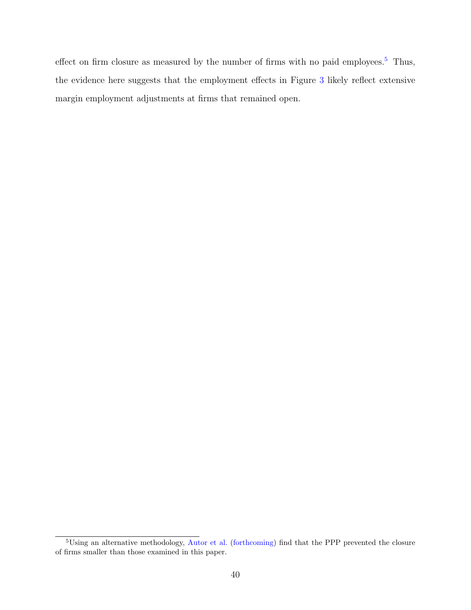effect on firm closure as measured by the number of firms with no paid employees.<sup>[5](#page-43-0)</sup> Thus, the evidence here suggests that the employment effects in Figure [3](#page-18-0) likely reflect extensive margin employment adjustments at firms that remained open.

<span id="page-43-0"></span><sup>&</sup>lt;sup>5</sup>Using an alternative methodology, [Autor et al.](#page-25-2) [\(forthcoming\)](#page-25-2) find that the PPP prevented the closure of firms smaller than those examined in this paper.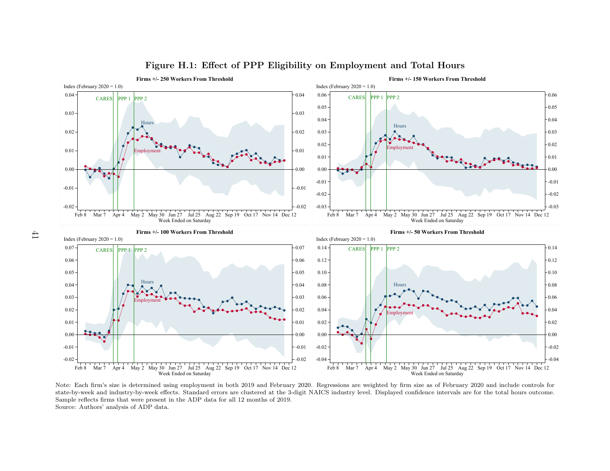

#### <span id="page-44-0"></span>Figure H.1: Effect of PPP Eligibility on Employment and Total Hours

 state-by-week and industry-by-week effects. Standard errors are clustered at the 3-digit NAICS industry level. Displayed confidence intervals are for the total hours outcome. Source: Authors' analysis of ADP data.Mar 7 Apr 4 May 2 May 30 Jun 27 Jul 25 Aug 22 Sep 19 Oct 17 Nov 14 Dec 12<br>Week Ended on Saturday<br>the firm's size is determined using employment in both 2019 and February<br>reek and industry-by-week effects. Standard errors a Mar 7 Apr 4 May 2 May 30 Jun 27 Jul 25 Aug 22 Sep 19 Oct 17 Nov 14 Dec 12<br>Week Ended on Saturday<br>Sions are weighted by firm size as of February 2020 and include controls f<br>dustry level. Displayed confidence intervals are f Note: Each firm's size is determined using employment in both <sup>2019</sup> and February 2020. Regressions are weighted by firm size as of February <sup>2020</sup> and include controls forSample reflects firms that were present in the ADP data for all 12 months of 2019.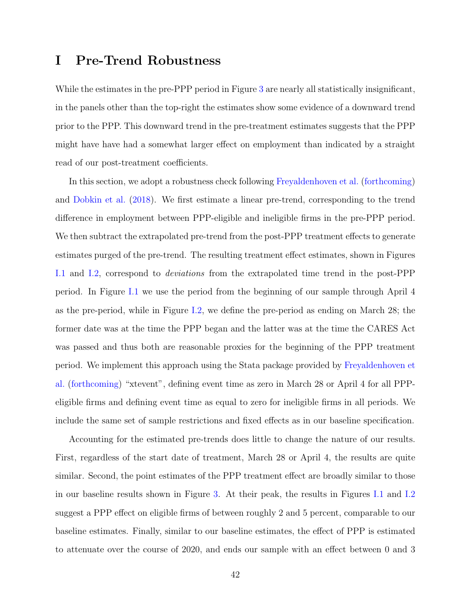#### <span id="page-45-0"></span>I Pre-Trend Robustness

While the estimates in the pre-PPP period in Figure [3](#page-18-0) are nearly all statistically insignificant, in the panels other than the top-right the estimates show some evidence of a downward trend prior to the PPP. This downward trend in the pre-treatment estimates suggests that the PPP might have have had a somewhat larger effect on employment than indicated by a straight read of our post-treatment coefficients.

In this section, we adopt a robustness check following [Freyaldenhoven et al.](#page-26-9) [\(forthcoming\)](#page-26-9) and [Dobkin et al.](#page-26-10) [\(2018\)](#page-26-10). We first estimate a linear pre-trend, corresponding to the trend difference in employment between PPP-eligible and ineligible firms in the pre-PPP period. We then subtract the extrapolated pre-trend from the post-PPP treatment effects to generate estimates purged of the pre-trend. The resulting treatment effect estimates, shown in Figures [I.1](#page-47-0) and [I.2,](#page-48-0) correspond to deviations from the extrapolated time trend in the post-PPP period. In Figure [I.1](#page-47-0) we use the period from the beginning of our sample through April 4 as the pre-period, while in Figure [I.2,](#page-48-0) we define the pre-period as ending on March 28; the former date was at the time the PPP began and the latter was at the time the CARES Act was passed and thus both are reasonable proxies for the beginning of the PPP treatment period. We implement this approach using the Stata package provided by [Freyaldenhoven et](#page-26-9) [al.](#page-26-9) [\(forthcoming\)](#page-26-9) "xtevent", defining event time as zero in March 28 or April 4 for all PPPeligible firms and defining event time as equal to zero for ineligible firms in all periods. We include the same set of sample restrictions and fixed effects as in our baseline specification.

Accounting for the estimated pre-trends does little to change the nature of our results. First, regardless of the start date of treatment, March 28 or April 4, the results are quite similar. Second, the point estimates of the PPP treatment effect are broadly similar to those in our baseline results shown in Figure [3.](#page-18-0) At their peak, the results in Figures [I.1](#page-47-0) and [I.2](#page-48-0) suggest a PPP effect on eligible firms of between roughly 2 and 5 percent, comparable to our baseline estimates. Finally, similar to our baseline estimates, the effect of PPP is estimated to attenuate over the course of 2020, and ends our sample with an effect between 0 and 3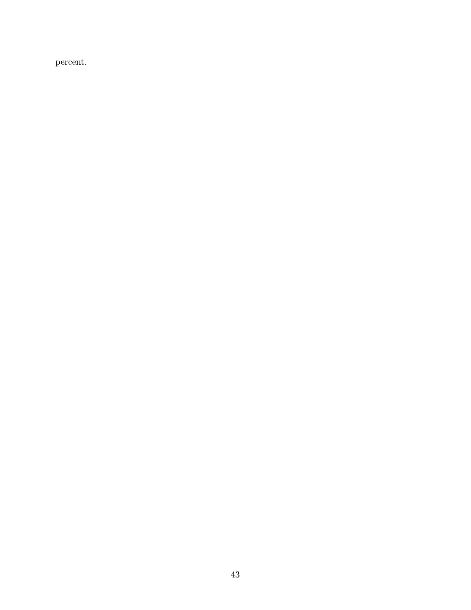percent.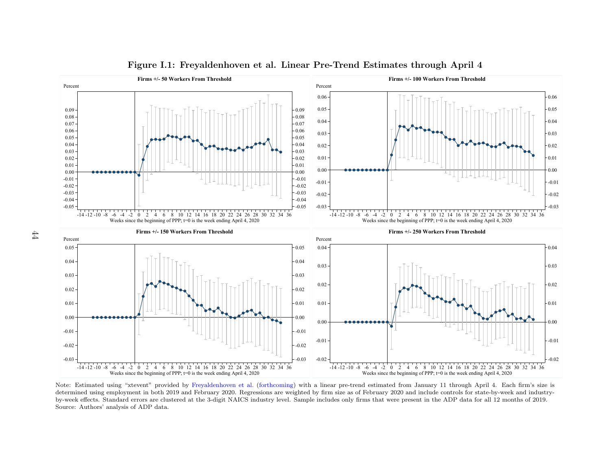

<span id="page-47-0"></span>Figure I.1: Freyaldenhoven et al. Linear Pre-Trend Estimates through April <sup>4</sup>

 by-week effects. Standard errors are clustered at the 3-digit NAICS industry level. Sample includes only firms that were present in the ADP data for all 12 months of 2019. determined using employment in both 2019 and February 2020. Regressions are weighted by firm size as of February 2020 and include controls for state-by-week and industry- Note: Estimated using "xtevent" provided by [Freyaldenhoven](#page-26-13) et al. [\(forthcoming\)](#page-26-13) with <sup>a</sup> linear pre-trend estimated from January <sup>11</sup> through April 4. Each firm's size is Source: Authors' analysis of ADP data.4-12 -10 -8 -6 -4 -2 0 2 4 6 8 10 12 14 16 18 20 22 24 26 28 30 32 34 36<br>Weeks since the beginning of PPP; t=0 is the week ending April 4, 2020<br>timated using "xtevent" provided by Freyalden hoven et al. (forthcoming<br>ed us 4-12-10 -8 -6 -4 -2 0 2 4 6 8 10 12 14 16 18 20 22 24 26 28 30 32 34 36<br>Weeks since the beginning of PPP; t=0 is the week ending April 4, 2020<br>r pre-trend estimated from January 11 through April 4. Each firm's siz<br>size as